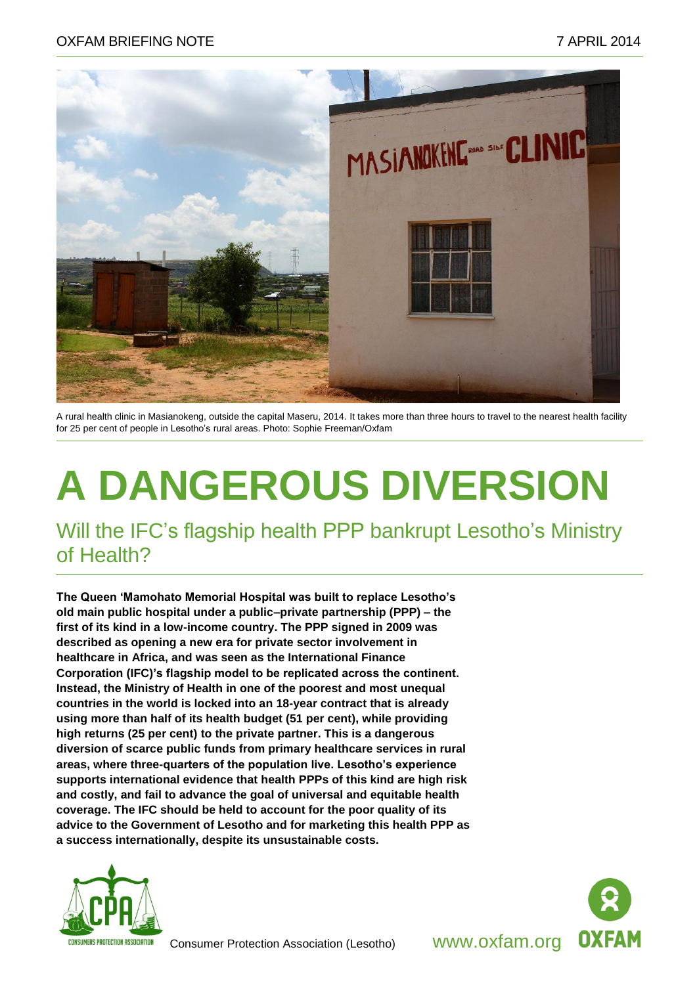

A rural health clinic in Masianokeng, outside the capital Maseru, 2014. It takes more than three hours to travel to the nearest health facility for 25 per cent of people in Lesotho's rural areas. Photo: Sophie Freeman/Oxfam

# **A DANGEROUS DIVERSION**

Will the IFC's flagship health PPP bankrupt Lesotho's Ministry of Health?

**The Queen 'Mamohato Memorial Hospital was built to replace Lesotho's old main public hospital under a public–private partnership (PPP) – the first of its kind in a low-income country. The PPP signed in 2009 was described as opening a new era for private sector involvement in healthcare in Africa, and was seen as the International Finance Corporation (IFC)'s flagship model to be replicated across the continent. Instead, the Ministry of Health in one of the poorest and most unequal countries in the world is locked into an 18-year contract that is already using more than half of its health budget (51 per cent), while providing high returns (25 per cent) to the private partner. This is a dangerous diversion of scarce public funds from primary healthcare services in rural areas, where three-quarters of the population live. Lesotho's experience supports international evidence that health PPPs of this kind are high risk and costly, and fail to advance the goal of universal and equitable health coverage. The IFC should be held to account for the poor quality of its advice to the Government of Lesotho and for marketing this health PPP as a success internationally, despite its unsustainable costs.** 





Consumer Protection Association (Lesotho) www.oxfam.org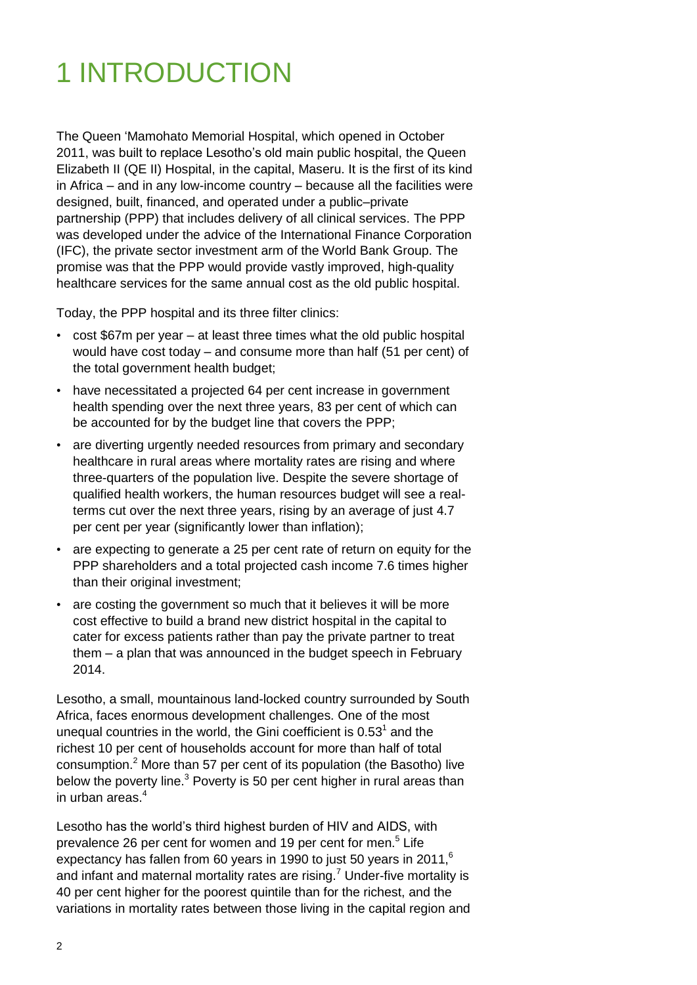# 1 INTRODUCTION

The Queen 'Mamohato Memorial Hospital, which opened in October 2011, was built to replace Lesotho's old main public hospital, the Queen Elizabeth II (QE II) Hospital, in the capital, Maseru. It is the first of its kind in Africa – and in any low-income country – because all the facilities were designed, built, financed, and operated under a public–private partnership (PPP) that includes delivery of all clinical services. The PPP was developed under the advice of the International Finance Corporation (IFC), the private sector investment arm of the World Bank Group. The promise was that the PPP would provide vastly improved, high-quality healthcare services for the same annual cost as the old public hospital.

Today, the PPP hospital and its three filter clinics:

- cost \$67m per year at least three times what the old public hospital would have cost today – and consume more than half (51 per cent) of the total government health budget;
- have necessitated a projected 64 per cent increase in government health spending over the next three years, 83 per cent of which can be accounted for by the budget line that covers the PPP;
- are diverting urgently needed resources from primary and secondary healthcare in rural areas where mortality rates are rising and where three-quarters of the population live. Despite the severe shortage of qualified health workers, the human resources budget will see a realterms cut over the next three years, rising by an average of just 4.7 per cent per year (significantly lower than inflation);
- are expecting to generate a 25 per cent rate of return on equity for the PPP shareholders and a total projected cash income 7.6 times higher than their original investment;
- are costing the government so much that it believes it will be more cost effective to build a brand new district hospital in the capital to cater for excess patients rather than pay the private partner to treat them – a plan that was announced in the budget speech in February 2014.

Lesotho, a small, mountainous land-locked country surrounded by South Africa, faces enormous development challenges. One of the most unequal countries in the world, the Gini coefficient is  $0.53<sup>1</sup>$  and the richest 10 per cent of households account for more than half of total consumption.<sup>2</sup> More than 57 per cent of its population (the Basotho) live below the poverty line.<sup>3</sup> Poverty is 50 per cent higher in rural areas than in urban areas. 4

Lesotho has the world's third highest burden of HIV and AIDS, with prevalence 26 per cent for women and 19 per cent for men.<sup>5</sup> Life expectancy has fallen from 60 years in 1990 to just 50 years in 2011,<sup>6</sup> and infant and maternal mortality rates are rising.<sup>7</sup> Under-five mortality is 40 per cent higher for the poorest quintile than for the richest, and the variations in mortality rates between those living in the capital region and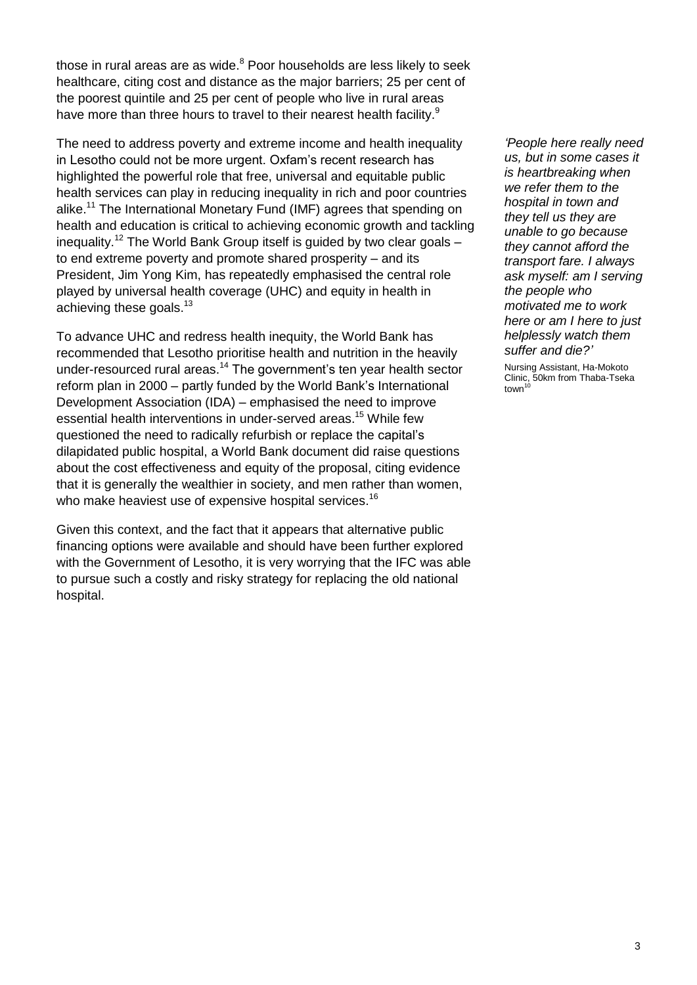those in rural areas are as wide.<sup>8</sup> Poor households are less likely to seek healthcare, citing cost and distance as the major barriers; 25 per cent of the poorest quintile and 25 per cent of people who live in rural areas have more than three hours to travel to their nearest health facility.<sup>9</sup>

The need to address poverty and extreme income and health inequality in Lesotho could not be more urgent. Oxfam's recent research has highlighted the powerful role that free, universal and equitable public health services can play in reducing inequality in rich and poor countries alike.<sup>11</sup> The International Monetary Fund (IMF) agrees that spending on health and education is critical to achieving economic growth and tackling inequality.<sup>12</sup> The World Bank Group itself is guided by two clear goals to end extreme poverty and promote shared prosperity – and its President, Jim Yong Kim, has repeatedly emphasised the central role played by universal health coverage (UHC) and equity in health in achieving these goals.<sup>13</sup>

To advance UHC and redress health inequity, the World Bank has recommended that Lesotho prioritise health and nutrition in the heavily under-resourced rural areas.<sup>14</sup> The government's ten year health sector reform plan in 2000 – partly funded by the World Bank's International Development Association (IDA) – emphasised the need to improve essential health interventions in under-served areas.<sup>15</sup> While few questioned the need to radically refurbish or replace the capital's dilapidated public hospital, a World Bank document did raise questions about the cost effectiveness and equity of the proposal, citing evidence that it is generally the wealthier in society, and men rather than women, who make heaviest use of expensive hospital services.<sup>16</sup>

Given this context, and the fact that it appears that alternative public financing options were available and should have been further explored with the Government of Lesotho, it is very worrying that the IFC was able to pursue such a costly and risky strategy for replacing the old national hospital.

*'People here really need us, but in some cases it is heartbreaking when we refer them to the hospital in town and they tell us they are unable to go because they cannot afford the transport fare. I always ask myself: am I serving the people who motivated me to work here or am I here to just helplessly watch them suffer and die?'*

Nursing Assistant, Ha-Mokoto Clinic, 50km from Thaba-Tseka<br>town<sup>10</sup>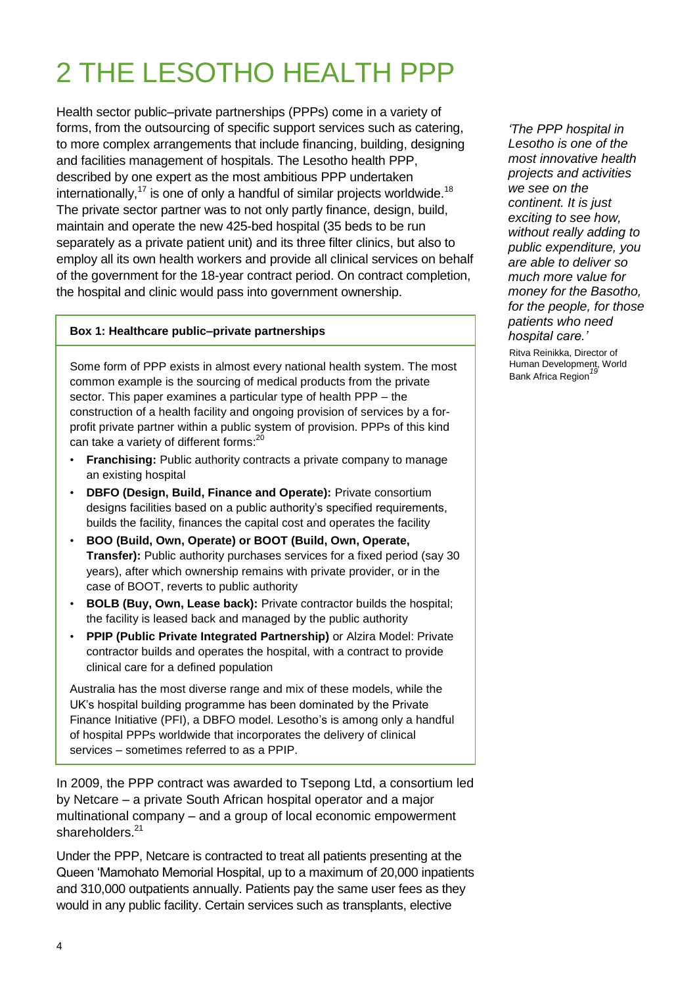# 2 THE LESOTHO HEALTH PPP

Health sector public–private partnerships (PPPs) come in a variety of forms, from the outsourcing of specific support services such as catering, to more complex arrangements that include financing, building, designing and facilities management of hospitals. The Lesotho health PPP, described by one expert as the most ambitious PPP undertaken internationally,<sup>17</sup> is one of only a handful of similar projects worldwide.<sup>18</sup> The private sector partner was to not only partly finance, design, build, maintain and operate the new 425-bed hospital (35 beds to be run separately as a private patient unit) and its three filter clinics, but also to employ all its own health workers and provide all clinical services on behalf of the government for the 18-year contract period. On contract completion, the hospital and clinic would pass into government ownership.

#### **Box 1: Healthcare public–private partnerships**

Some form of PPP exists in almost every national health system. The most common example is the sourcing of medical products from the private sector. This paper examines a particular type of health PPP – the construction of a health facility and ongoing provision of services by a forprofit private partner within a public system of provision. PPPs of this kind can take a variety of different forms:<sup>20</sup>

- **Franchising:** Public authority contracts a private company to manage an existing hospital
- **DBFO (Design, Build, Finance and Operate):** Private consortium designs facilities based on a public authority's specified requirements, builds the facility, finances the capital cost and operates the facility
- **BOO (Build, Own, Operate) or BOOT (Build, Own, Operate, Transfer):** Public authority purchases services for a fixed period (say 30 years), after which ownership remains with private provider, or in the case of BOOT, reverts to public authority
- **BOLB (Buy, Own, Lease back):** Private contractor builds the hospital; the facility is leased back and managed by the public authority
- **PPIP (Public Private Integrated Partnership)** or Alzira Model: Private contractor builds and operates the hospital, with a contract to provide clinical care for a defined population

Australia has the most diverse range and mix of these models, while the UK's hospital building programme has been dominated by the Private Finance Initiative (PFI), a DBFO model. Lesotho's is among only a handful of hospital PPPs worldwide that incorporates the delivery of clinical services – sometimes referred to as a PPIP.

In 2009, the PPP contract was awarded to Tsepong Ltd, a consortium led by Netcare – a private South African hospital operator and a major multinational company – and a group of local economic empowerment shareholders.<sup>21</sup>

Under the PPP, Netcare is contracted to treat all patients presenting at the Queen 'Mamohato Memorial Hospital, up to a maximum of 20,000 inpatients and 310,000 outpatients annually. Patients pay the same user fees as they would in any public facility. Certain services such as transplants, elective

*'The PPP hospital in Lesotho is one of the most innovative health projects and activities we see on the continent. It is just exciting to see how, without really adding to public expenditure, you are able to deliver so much more value for money for the Basotho, for the people, for those patients who need hospital care.'* 

Ritva Reinikka, Director of Human Development, World Bank Africa Region<sup>19</sup>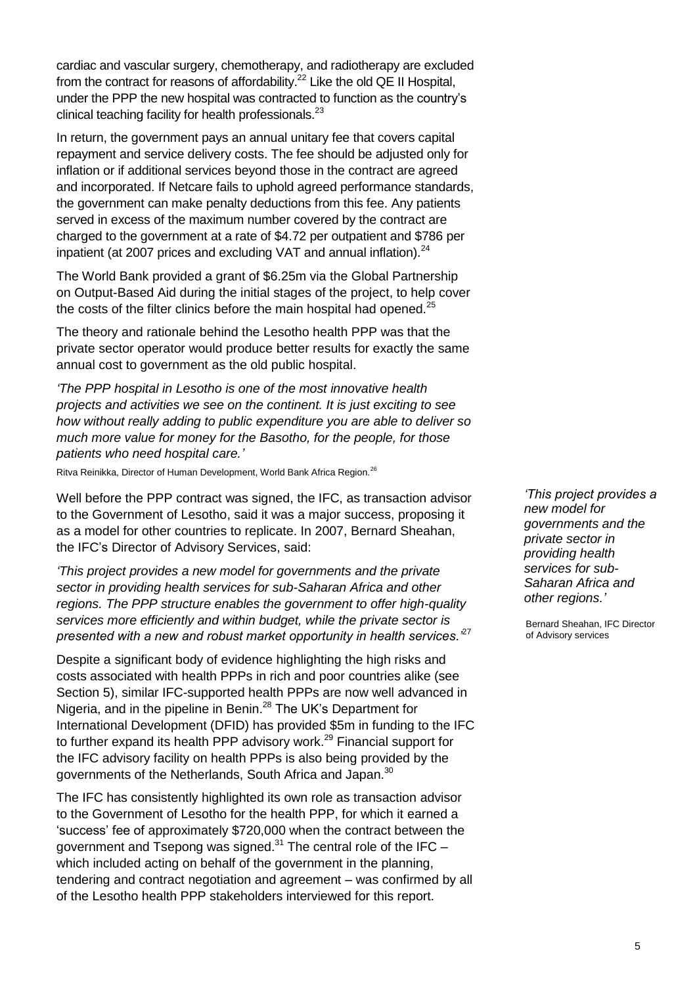cardiac and vascular surgery, chemotherapy, and radiotherapy are excluded from the contract for reasons of affordability.<sup>22</sup> Like the old QE II Hospital, under the PPP the new hospital was contracted to function as the country's clinical teaching facility for health professionals. $^{23}$ 

In return, the government pays an annual unitary fee that covers capital repayment and service delivery costs. The fee should be adjusted only for inflation or if additional services beyond those in the contract are agreed and incorporated. If Netcare fails to uphold agreed performance standards, the government can make penalty deductions from this fee. Any patients served in excess of the maximum number covered by the contract are charged to the government at a rate of \$4.72 per outpatient and \$786 per inpatient (at 2007 prices and excluding VAT and annual inflation). $^{24}$ 

The World Bank provided a grant of \$6.25m via the Global Partnership on Output-Based Aid during the initial stages of the project, to help cover the costs of the filter clinics before the main hospital had opened.<sup>25</sup>

The theory and rationale behind the Lesotho health PPP was that the private sector operator would produce better results for exactly the same annual cost to government as the old public hospital.

*'The PPP hospital in Lesotho is one of the most innovative health projects and activities we see on the continent. It is just exciting to see how without really adding to public expenditure you are able to deliver so much more value for money for the Basotho, for the people, for those patients who need hospital care.'*

Ritva Reinikka, Director of Human Development, World Bank Africa Region.<sup>26</sup>

Well before the PPP contract was signed, the IFC, as transaction advisor to the Government of Lesotho, said it was a major success, proposing it as a model for other countries to replicate. In 2007, Bernard Sheahan, the IFC's Director of Advisory Services, said:

*'This project provides a new model for governments and the private sector in providing health services for sub-Saharan Africa and other regions. The PPP structure enables the government to offer high-quality services more efficiently and within budget, while the private sector is presented with a new and robust market opportunity in health services.'*<sup>27</sup>

Despite a significant body of evidence highlighting the high risks and costs associated with health PPPs in rich and poor countries alike (see Section 5), similar IFC-supported health PPPs are now well advanced in Nigeria, and in the pipeline in Benin.<sup>28</sup> The UK's Department for International Development (DFID) has provided \$5m in funding to the IFC to further expand its health PPP advisory work.<sup>29</sup> Financial support for the IFC advisory facility on health PPPs is also being provided by the governments of the Netherlands, South Africa and Japan.<sup>30</sup>

The IFC has consistently highlighted its own role as transaction advisor to the Government of Lesotho for the health PPP, for which it earned a ‗success' fee of approximately \$720,000 when the contract between the government and Tsepong was signed.<sup>31</sup> The central role of the IFC which included acting on behalf of the government in the planning, tendering and contract negotiation and agreement – was confirmed by all of the Lesotho health PPP stakeholders interviewed for this report.

*'This project provides a new model for governments and the private sector in providing health services for sub-Saharan Africa and other regions.'* 

Bernard Sheahan, IFC Director of Advisory services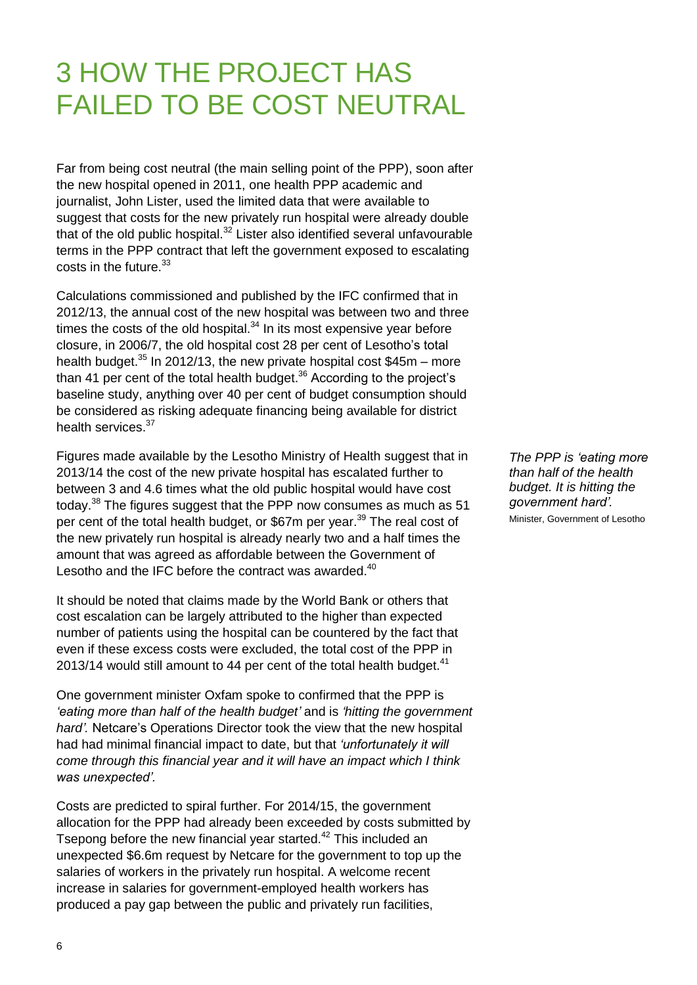# 3 HOW THE PROJECT HAS FAILED TO BE COST NEUTRAL

Far from being cost neutral (the main selling point of the PPP), soon after the new hospital opened in 2011, one health PPP academic and journalist, John Lister, used the limited data that were available to suggest that costs for the new privately run hospital were already double that of the old public hospital.<sup>32</sup> Lister also identified several unfavourable terms in the PPP contract that left the government exposed to escalating  $costs$  in the future  $33$ 

Calculations commissioned and published by the IFC confirmed that in 2012/13, the annual cost of the new hospital was between two and three times the costs of the old hospital. $34$  In its most expensive year before closure, in 2006/7, the old hospital cost 28 per cent of Lesotho's total health budget.<sup>35</sup> In 2012/13, the new private hospital cost \$45m – more than 41 per cent of the total health budget.<sup>36</sup> According to the project's baseline study, anything over 40 per cent of budget consumption should be considered as risking adequate financing being available for district health services.<sup>37</sup>

Figures made available by the Lesotho Ministry of Health suggest that in 2013/14 the cost of the new private hospital has escalated further to between 3 and 4.6 times what the old public hospital would have cost today.<sup>38</sup> The figures suggest that the PPP now consumes as much as 51 per cent of the total health budget, or \$67m per year.<sup>39</sup> The real cost of the new privately run hospital is already nearly two and a half times the amount that was agreed as affordable between the Government of Lesotho and the IFC before the contract was awarded.<sup>40</sup>

It should be noted that claims made by the World Bank or others that cost escalation can be largely attributed to the higher than expected number of patients using the hospital can be countered by the fact that even if these excess costs were excluded, the total cost of the PPP in 2013/14 would still amount to 44 per cent of the total health budget. $41$ 

One government minister Oxfam spoke to confirmed that the PPP is *'eating more than half of the health budget'* and is *'hitting the government hard'.* Netcare's Operations Director took the view that the new hospital had had minimal financial impact to date, but that *'unfortunately it will come through this financial year and it will have an impact which I think was unexpected'.* 

Costs are predicted to spiral further. For 2014/15, the government allocation for the PPP had already been exceeded by costs submitted by Tsepong before the new financial year started.<sup>42</sup> This included an unexpected \$6.6m request by Netcare for the government to top up the salaries of workers in the privately run hospital. A welcome recent increase in salaries for government-employed health workers has produced a pay gap between the public and privately run facilities,

*The PPP is 'eating more than half of the health budget. It is hitting the government hard'.*

Minister, Government of Lesotho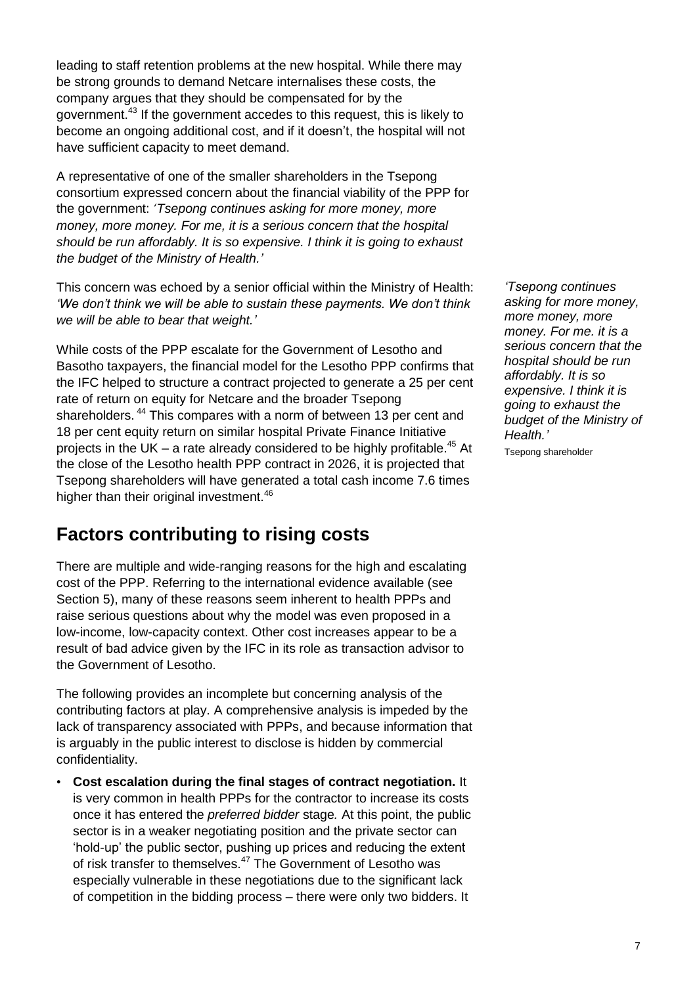leading to staff retention problems at the new hospital. While there may be strong grounds to demand Netcare internalises these costs, the company argues that they should be compensated for by the government.<sup>43</sup> If the government accedes to this request, this is likely to become an ongoing additional cost, and if it doesn't, the hospital will not have sufficient capacity to meet demand.

A representative of one of the smaller shareholders in the Tsepong consortium expressed concern about the financial viability of the PPP for the government: *'Tsepong continues asking for more money, more money, more money. For me, it is a serious concern that the hospital should be run affordably. It is so expensive. I think it is going to exhaust the budget of the Ministry of Health.'*

This concern was echoed by a senior official within the Ministry of Health: *'We don't think we will be able to sustain these payments. We don't think we will be able to bear that weight.'*

While costs of the PPP escalate for the Government of Lesotho and Basotho taxpayers, the financial model for the Lesotho PPP confirms that the IFC helped to structure a contract projected to generate a 25 per cent rate of return on equity for Netcare and the broader Tsepong shareholders.<sup>44</sup> This compares with a norm of between 13 per cent and 18 per cent equity return on similar hospital Private Finance Initiative projects in the UK – a rate already considered to be highly profitable.<sup>45</sup> At the close of the Lesotho health PPP contract in 2026, it is projected that Tsepong shareholders will have generated a total cash income 7.6 times higher than their original investment.<sup>46</sup>

### **Factors contributing to rising costs**

There are multiple and wide-ranging reasons for the high and escalating cost of the PPP. Referring to the international evidence available (see Section 5), many of these reasons seem inherent to health PPPs and raise serious questions about why the model was even proposed in a low-income, low-capacity context. Other cost increases appear to be a result of bad advice given by the IFC in its role as transaction advisor to the Government of Lesotho.

The following provides an incomplete but concerning analysis of the contributing factors at play. A comprehensive analysis is impeded by the lack of transparency associated with PPPs, and because information that is arguably in the public interest to disclose is hidden by commercial confidentiality.

• **Cost escalation during the final stages of contract negotiation.** It is very common in health PPPs for the contractor to increase its costs once it has entered the *preferred bidder* stage*.* At this point, the public sector is in a weaker negotiating position and the private sector can ‗hold-up' the public sector, pushing up prices and reducing the extent of risk transfer to themselves.<sup>47</sup> The Government of Lesotho was especially vulnerable in these negotiations due to the significant lack of competition in the bidding process – there were only two bidders. It

*'Tsepong continues asking for more money, more money, more money. For me. it is a serious concern that the hospital should be run affordably. It is so expensive. I think it is going to exhaust the budget of the Ministry of Health.'* 

Tsepong shareholder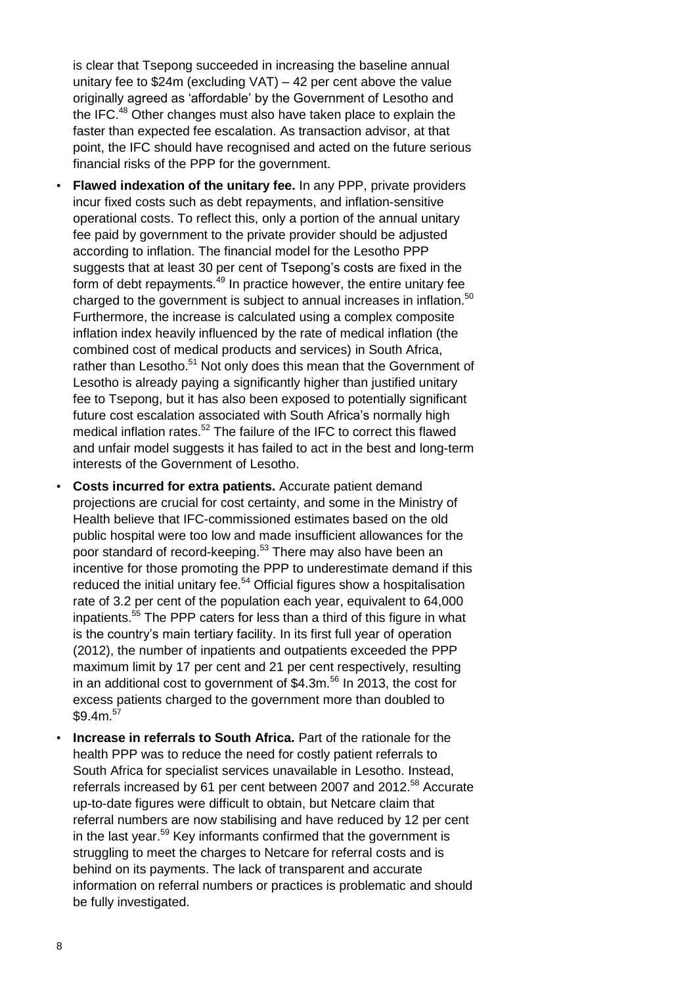is clear that Tsepong succeeded in increasing the baseline annual unitary fee to \$24m (excluding VAT) – 42 per cent above the value originally agreed as 'affordable' by the Government of Lesotho and the IFC.<sup>48</sup> Other changes must also have taken place to explain the faster than expected fee escalation. As transaction advisor, at that point, the IFC should have recognised and acted on the future serious financial risks of the PPP for the government.

- **Flawed indexation of the unitary fee.** In any PPP, private providers incur fixed costs such as debt repayments, and inflation-sensitive operational costs. To reflect this, only a portion of the annual unitary fee paid by government to the private provider should be adjusted according to inflation. The financial model for the Lesotho PPP suggests that at least 30 per cent of Tsepong's costs are fixed in the form of debt repayments.<sup>49</sup> In practice however, the entire unitary fee charged to the government is subject to annual increases in inflation.<sup>50</sup> Furthermore, the increase is calculated using a complex composite inflation index heavily influenced by the rate of medical inflation (the combined cost of medical products and services) in South Africa, rather than Lesotho.<sup>51</sup> Not only does this mean that the Government of Lesotho is already paying a significantly higher than justified unitary fee to Tsepong, but it has also been exposed to potentially significant future cost escalation associated with South Africa's normally high medical inflation rates.<sup>52</sup> The failure of the IFC to correct this flawed and unfair model suggests it has failed to act in the best and long-term interests of the Government of Lesotho.
- **Costs incurred for extra patients.** Accurate patient demand projections are crucial for cost certainty, and some in the Ministry of Health believe that IFC-commissioned estimates based on the old public hospital were too low and made insufficient allowances for the poor standard of record-keeping.<sup>53</sup> There may also have been an incentive for those promoting the PPP to underestimate demand if this reduced the initial unitary fee.<sup>54</sup> Official figures show a hospitalisation rate of 3.2 per cent of the population each year, equivalent to 64,000 inpatients.<sup>55</sup> The PPP caters for less than a third of this figure in what is the country's main tertiary facility. In its first full year of operation (2012), the number of inpatients and outpatients exceeded the PPP maximum limit by 17 per cent and 21 per cent respectively, resulting in an additional cost to government of  $$4.3m.<sup>56</sup>$  In 2013, the cost for excess patients charged to the government more than doubled to  $$9.4m.57$
- **Increase in referrals to South Africa.** Part of the rationale for the health PPP was to reduce the need for costly patient referrals to South Africa for specialist services unavailable in Lesotho. Instead, referrals increased by 61 per cent between 2007 and 2012.<sup>58</sup> Accurate up-to-date figures were difficult to obtain, but Netcare claim that referral numbers are now stabilising and have reduced by 12 per cent in the last year.<sup>59</sup> Key informants confirmed that the government is struggling to meet the charges to Netcare for referral costs and is behind on its payments. The lack of transparent and accurate information on referral numbers or practices is problematic and should be fully investigated.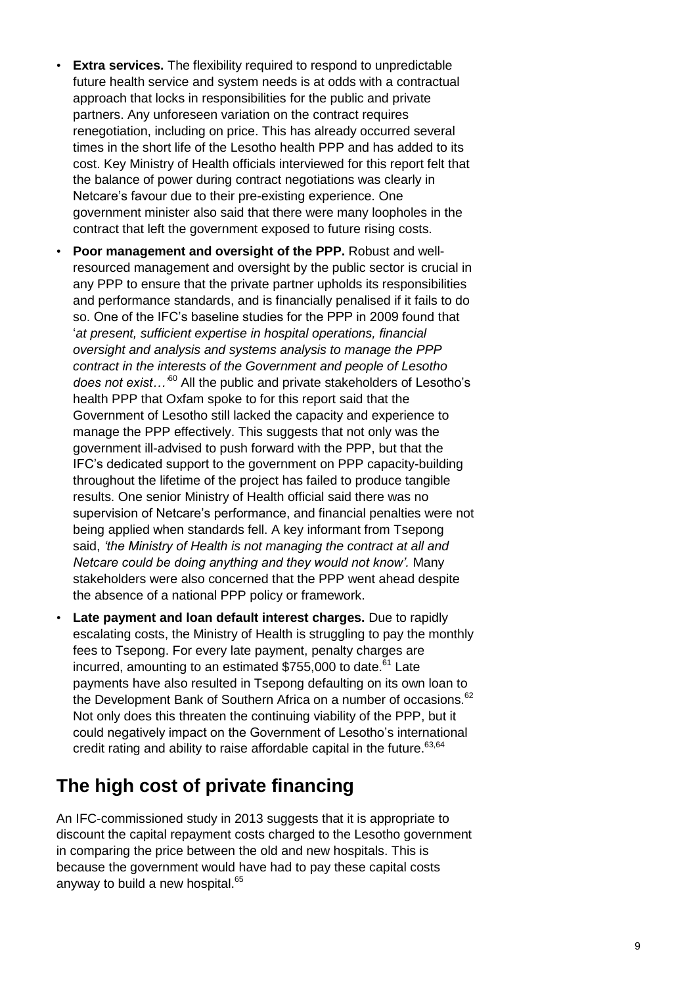- **Extra services.** The flexibility required to respond to unpredictable future health service and system needs is at odds with a contractual approach that locks in responsibilities for the public and private partners. Any unforeseen variation on the contract requires renegotiation, including on price. This has already occurred several times in the short life of the Lesotho health PPP and has added to its cost. Key Ministry of Health officials interviewed for this report felt that the balance of power during contract negotiations was clearly in Netcare's favour due to their pre-existing experience. One government minister also said that there were many loopholes in the contract that left the government exposed to future rising costs.
- **Poor management and oversight of the PPP.** Robust and wellresourced management and oversight by the public sector is crucial in any PPP to ensure that the private partner upholds its responsibilities and performance standards, and is financially penalised if it fails to do so. One of the IFC's baseline studies for the PPP in 2009 found that ‗*at present, sufficient expertise in hospital operations, financial oversight and analysis and systems analysis to manage the PPP contract in the interests of the Government and people of Lesotho does not exist…'* <sup>60</sup> All the public and private stakeholders of Lesotho's health PPP that Oxfam spoke to for this report said that the Government of Lesotho still lacked the capacity and experience to manage the PPP effectively. This suggests that not only was the government ill-advised to push forward with the PPP, but that the IFC's dedicated support to the government on PPP capacity-building throughout the lifetime of the project has failed to produce tangible results. One senior Ministry of Health official said there was no supervision of Netcare's performance, and financial penalties were not being applied when standards fell. A key informant from Tsepong said, *'the Ministry of Health is not managing the contract at all and Netcare could be doing anything and they would not know'.* Many stakeholders were also concerned that the PPP went ahead despite the absence of a national PPP policy or framework.
- **Late payment and loan default interest charges.** Due to rapidly escalating costs, the Ministry of Health is struggling to pay the monthly fees to Tsepong. For every late payment, penalty charges are incurred, amounting to an estimated  $$755,000$  to date.<sup>61</sup> Late payments have also resulted in Tsepong defaulting on its own loan to the Development Bank of Southern Africa on a number of occasions.<sup>62</sup> Not only does this threaten the continuing viability of the PPP, but it could negatively impact on the Government of Lesotho's international credit rating and ability to raise affordable capital in the future.<sup>63,64</sup>

### **The high cost of private financing**

An IFC-commissioned study in 2013 suggests that it is appropriate to discount the capital repayment costs charged to the Lesotho government in comparing the price between the old and new hospitals. This is because the government would have had to pay these capital costs anyway to build a new hospital.<sup>65</sup>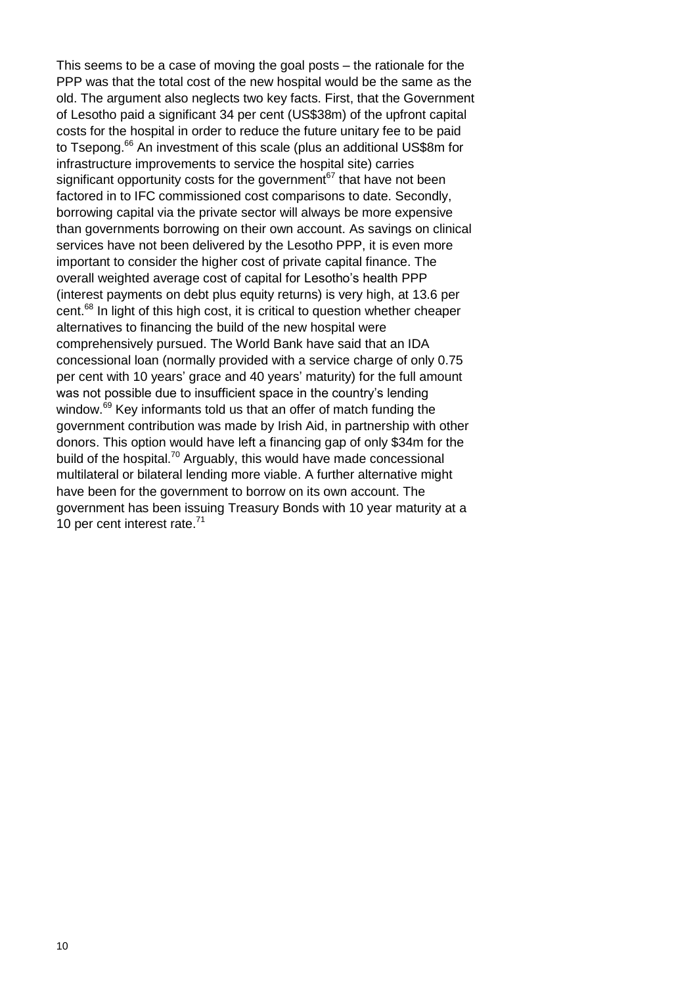This seems to be a case of moving the goal posts – the rationale for the PPP was that the total cost of the new hospital would be the same as the old. The argument also neglects two key facts. First, that the Government of Lesotho paid a significant 34 per cent (US\$38m) of the upfront capital costs for the hospital in order to reduce the future unitary fee to be paid to Tsepong.<sup>66</sup> An investment of this scale (plus an additional US\$8m for infrastructure improvements to service the hospital site) carries significant opportunity costs for the government  $67$  that have not been factored in to IFC commissioned cost comparisons to date. Secondly, borrowing capital via the private sector will always be more expensive than governments borrowing on their own account. As savings on clinical services have not been delivered by the Lesotho PPP, it is even more important to consider the higher cost of private capital finance. The overall weighted average cost of capital for Lesotho's health PPP (interest payments on debt plus equity returns) is very high, at 13.6 per cent.<sup>68</sup> In light of this high cost, it is critical to question whether cheaper alternatives to financing the build of the new hospital were comprehensively pursued. The World Bank have said that an IDA concessional loan (normally provided with a service charge of only 0.75 per cent with 10 years' grace and 40 years' maturity) for the full amount was not possible due to insufficient space in the country's lending window.<sup>69</sup> Key informants told us that an offer of match funding the government contribution was made by Irish Aid, in partnership with other donors. This option would have left a financing gap of only \$34m for the build of the hospital.<sup>70</sup> Arguably, this would have made concessional multilateral or bilateral lending more viable. A further alternative might have been for the government to borrow on its own account. The government has been issuing Treasury Bonds with 10 year maturity at a 10 per cent interest rate.<sup>71</sup>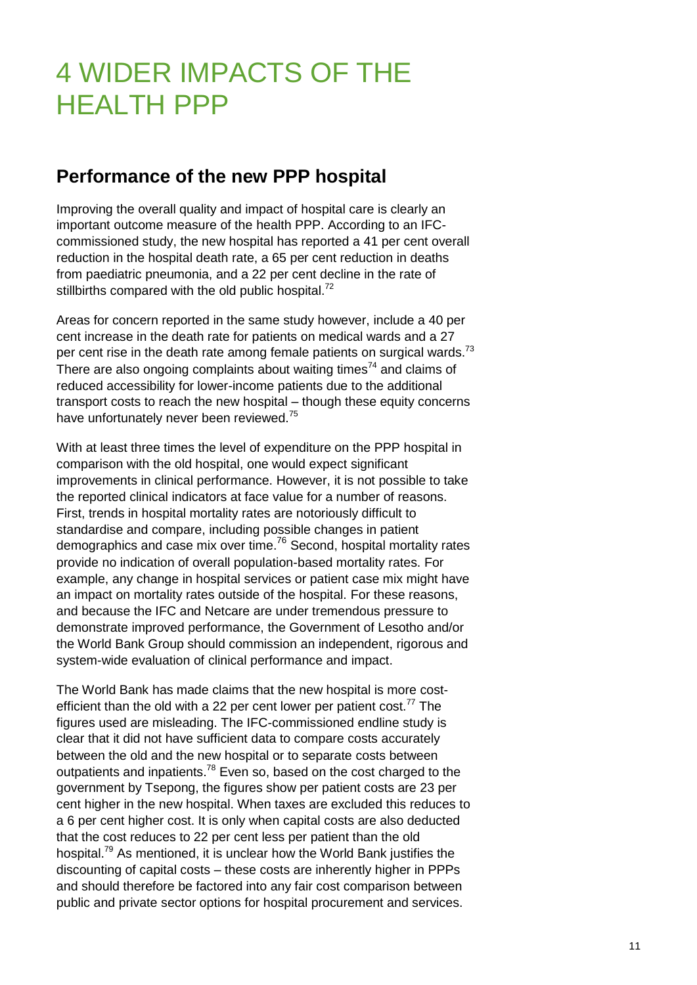# 4 WIDER IMPACTS OF THE HEALTH PPP

### **Performance of the new PPP hospital**

Improving the overall quality and impact of hospital care is clearly an important outcome measure of the health PPP. According to an IFCcommissioned study, the new hospital has reported a 41 per cent overall reduction in the hospital death rate, a 65 per cent reduction in deaths from paediatric pneumonia, and a 22 per cent decline in the rate of stillbirths compared with the old public hospital.<sup>72</sup>

Areas for concern reported in the same study however, include a 40 per cent increase in the death rate for patients on medical wards and a 27 per cent rise in the death rate among female patients on surgical wards.<sup>73</sup> There are also ongoing complaints about waiting times<sup>74</sup> and claims of reduced accessibility for lower-income patients due to the additional transport costs to reach the new hospital – though these equity concerns have unfortunately never been reviewed.<sup>75</sup>

With at least three times the level of expenditure on the PPP hospital in comparison with the old hospital, one would expect significant improvements in clinical performance. However, it is not possible to take the reported clinical indicators at face value for a number of reasons. First, trends in hospital mortality rates are notoriously difficult to standardise and compare, including possible changes in patient demographics and case mix over time.<sup>76</sup> Second, hospital mortality rates provide no indication of overall population-based mortality rates. For example, any change in hospital services or patient case mix might have an impact on mortality rates outside of the hospital. For these reasons, and because the IFC and Netcare are under tremendous pressure to demonstrate improved performance, the Government of Lesotho and/or the World Bank Group should commission an independent, rigorous and system-wide evaluation of clinical performance and impact.

The World Bank has made claims that the new hospital is more costefficient than the old with a 22 per cent lower per patient  $cost.^{77}$  The figures used are misleading. The IFC-commissioned endline study is clear that it did not have sufficient data to compare costs accurately between the old and the new hospital or to separate costs between outpatients and inpatients.<sup>78</sup> Even so, based on the cost charged to the government by Tsepong, the figures show per patient costs are 23 per cent higher in the new hospital. When taxes are excluded this reduces to a 6 per cent higher cost. It is only when capital costs are also deducted that the cost reduces to 22 per cent less per patient than the old hospital.<sup>79</sup> As mentioned, it is unclear how the World Bank justifies the discounting of capital costs – these costs are inherently higher in PPPs and should therefore be factored into any fair cost comparison between public and private sector options for hospital procurement and services.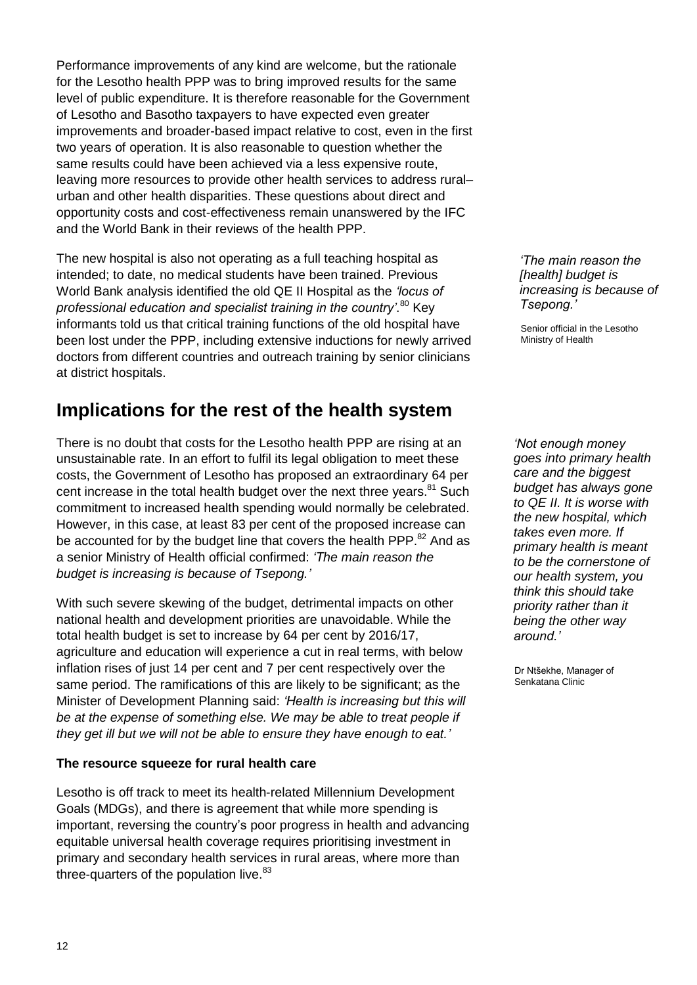Performance improvements of any kind are welcome, but the rationale for the Lesotho health PPP was to bring improved results for the same level of public expenditure. It is therefore reasonable for the Government of Lesotho and Basotho taxpayers to have expected even greater improvements and broader-based impact relative to cost, even in the first two years of operation. It is also reasonable to question whether the same results could have been achieved via a less expensive route, leaving more resources to provide other health services to address rural– urban and other health disparities. These questions about direct and opportunity costs and cost-effectiveness remain unanswered by the IFC and the World Bank in their reviews of the health PPP.

The new hospital is also not operating as a full teaching hospital as intended; to date, no medical students have been trained. Previous World Bank analysis identified the old QE II Hospital as the *'locus of*  professional education and specialist training in the country'.<sup>80</sup> Key informants told us that critical training functions of the old hospital have been lost under the PPP, including extensive inductions for newly arrived doctors from different countries and outreach training by senior clinicians at district hospitals.

### **Implications for the rest of the health system**

There is no doubt that costs for the Lesotho health PPP are rising at an unsustainable rate. In an effort to fulfil its legal obligation to meet these costs, the Government of Lesotho has proposed an extraordinary 64 per cent increase in the total health budget over the next three years.<sup>81</sup> Such commitment to increased health spending would normally be celebrated. However, in this case, at least 83 per cent of the proposed increase can be accounted for by the budget line that covers the health PPP.<sup>82</sup> And as a senior Ministry of Health official confirmed: *'The main reason the budget is increasing is because of Tsepong.'*

With such severe skewing of the budget, detrimental impacts on other national health and development priorities are unavoidable. While the total health budget is set to increase by 64 per cent by 2016/17, agriculture and education will experience a cut in real terms, with below inflation rises of just 14 per cent and 7 per cent respectively over the same period. The ramifications of this are likely to be significant; as the Minister of Development Planning said: *'Health is increasing but this will be at the expense of something else. We may be able to treat people if they get ill but we will not be able to ensure they have enough to eat.'*

#### **The resource squeeze for rural health care**

Lesotho is off track to meet its health-related Millennium Development Goals (MDGs), and there is agreement that while more spending is important, reversing the country's poor progress in health and advancing equitable universal health coverage requires prioritising investment in primary and secondary health services in rural areas, where more than three-quarters of the population live. $83$ 

*'The main reason the [health] budget is increasing is because of Tsepong.'* 

Senior official in the Lesotho Ministry of Health

*'Not enough money goes into primary health care and the biggest budget has always gone to QE II. It is worse with the new hospital, which takes even more. If primary health is meant to be the cornerstone of our health system, you think this should take priority rather than it being the other way around.'* 

Dr Ntšekhe, Manager of Senkatana Clinic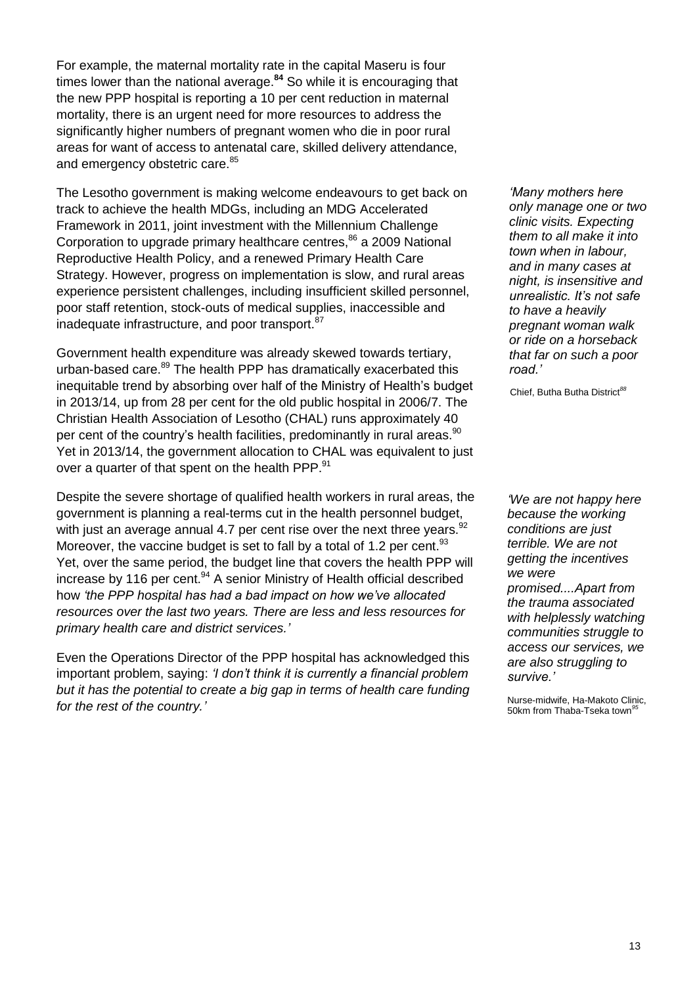For example, the maternal mortality rate in the capital Maseru is four times lower than the national average.**<sup>84</sup>** So while it is encouraging that the new PPP hospital is reporting a 10 per cent reduction in maternal mortality, there is an urgent need for more resources to address the significantly higher numbers of pregnant women who die in poor rural areas for want of access to antenatal care, skilled delivery attendance, and emergency obstetric care.<sup>85</sup>

The Lesotho government is making welcome endeavours to get back on track to achieve the health MDGs, including an MDG Accelerated Framework in 2011, joint investment with the Millennium Challenge Corporation to upgrade primary healthcare centres,<sup>86</sup> a 2009 National Reproductive Health Policy, and a renewed Primary Health Care Strategy. However, progress on implementation is slow, and rural areas experience persistent challenges, including insufficient skilled personnel, poor staff retention, stock-outs of medical supplies, inaccessible and inadequate infrastructure, and poor transport.<sup>87</sup>

Government health expenditure was already skewed towards tertiary, urban-based care.<sup>89</sup> The health PPP has dramatically exacerbated this inequitable trend by absorbing over half of the Ministry of Health's budget in 2013/14, up from 28 per cent for the old public hospital in 2006/7. The Christian Health Association of Lesotho (CHAL) runs approximately 40 per cent of the country's health facilities, predominantly in rural areas.<sup>90</sup> Yet in 2013/14, the government allocation to CHAL was equivalent to just over a quarter of that spent on the health PPP.<sup>91</sup>

Despite the severe shortage of qualified health workers in rural areas, the government is planning a real-terms cut in the health personnel budget, with just an average annual 4.7 per cent rise over the next three vears.  $92$ Moreover, the vaccine budget is set to fall by a total of 1.2 per cent.<sup>93</sup> Yet, over the same period, the budget line that covers the health PPP will increase by 116 per cent.<sup>94</sup> A senior Ministry of Health official described how *'the PPP hospital has had a bad impact on how we've allocated resources over the last two years. There are less and less resources for primary health care and district services.'*

Even the Operations Director of the PPP hospital has acknowledged this important problem, saying: *'I don't think it is currently a financial problem but it has the potential to create a big gap in terms of health care funding for the rest of the country.'*

*'Many mothers here only manage one or two clinic visits. Expecting them to all make it into town when in labour, and in many cases at night, is insensitive and unrealistic. It's not safe to have a heavily pregnant woman walk or ride on a horseback that far on such a poor road.'* 

Chief, Butha Butha District*<sup>88</sup>*

*'We are not happy here because the working conditions are just terrible. We are not getting the incentives we were promised....Apart from the trauma associated with helplessly watching communities struggle to access our services, we are also struggling to survive.'*

Nurse-midwife, Ha-Makoto Clinic, 50km from Thaba-Tseka town*<sup>95</sup>*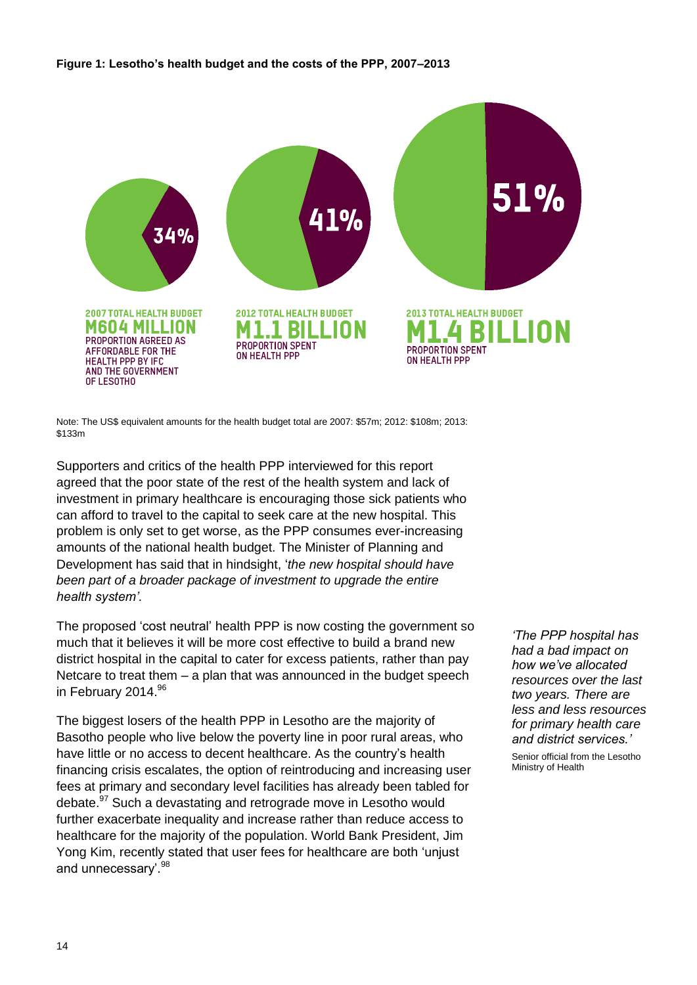#### **Figure 1: Lesotho's health budget and the costs of the PPP, 2007–2013**



Note: The US\$ equivalent amounts for the health budget total are 2007: \$57m; 2012: \$108m; 2013: \$133m

Supporters and critics of the health PPP interviewed for this report agreed that the poor state of the rest of the health system and lack of investment in primary healthcare is encouraging those sick patients who can afford to travel to the capital to seek care at the new hospital. This problem is only set to get worse, as the PPP consumes ever-increasing amounts of the national health budget. The Minister of Planning and Development has said that in hindsight, ‗*the new hospital should have been part of a broader package of investment to upgrade the entire health system'.*

The proposed 'cost neutral' health PPP is now costing the government so much that it believes it will be more cost effective to build a brand new district hospital in the capital to cater for excess patients, rather than pay Netcare to treat them – a plan that was announced in the budget speech in February 2014.<sup>96</sup>

The biggest losers of the health PPP in Lesotho are the majority of Basotho people who live below the poverty line in poor rural areas, who have little or no access to decent healthcare. As the country's health financing crisis escalates, the option of reintroducing and increasing user fees at primary and secondary level facilities has already been tabled for debate.<sup>97</sup> Such a devastating and retrograde move in Lesotho would further exacerbate inequality and increase rather than reduce access to healthcare for the majority of the population. World Bank President, Jim Yong Kim, recently stated that user fees for healthcare are both 'unjust and unnecessary'.<sup>98</sup>

*'The PPP hospital has had a bad impact on how we've allocated resources over the last two years. There are less and less resources for primary health care and district services.'* 

Senior official from the Lesotho Ministry of Health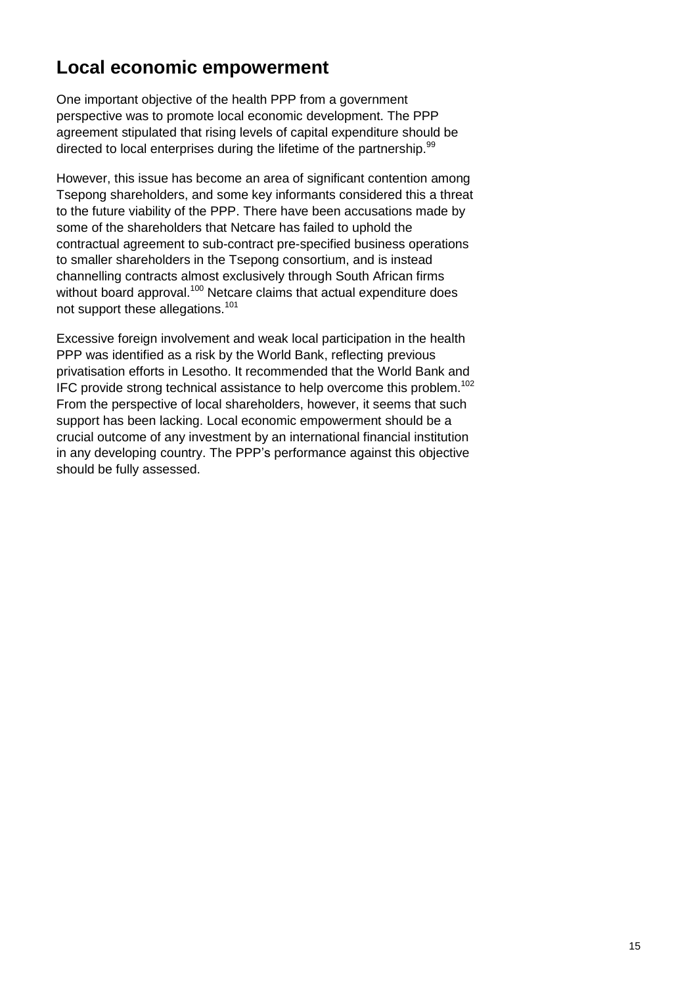### **Local economic empowerment**

One important objective of the health PPP from a government perspective was to promote local economic development. The PPP agreement stipulated that rising levels of capital expenditure should be directed to local enterprises during the lifetime of the partnership.<sup>99</sup>

However, this issue has become an area of significant contention among Tsepong shareholders, and some key informants considered this a threat to the future viability of the PPP. There have been accusations made by some of the shareholders that Netcare has failed to uphold the contractual agreement to sub-contract pre-specified business operations to smaller shareholders in the Tsepong consortium, and is instead channelling contracts almost exclusively through South African firms without board approval.<sup>100</sup> Netcare claims that actual expenditure does not support these allegations.<sup>101</sup>

Excessive foreign involvement and weak local participation in the health PPP was identified as a risk by the World Bank, reflecting previous privatisation efforts in Lesotho. It recommended that the World Bank and IFC provide strong technical assistance to help overcome this problem.<sup>102</sup> From the perspective of local shareholders, however, it seems that such support has been lacking. Local economic empowerment should be a crucial outcome of any investment by an international financial institution in any developing country. The PPP's performance against this objective should be fully assessed.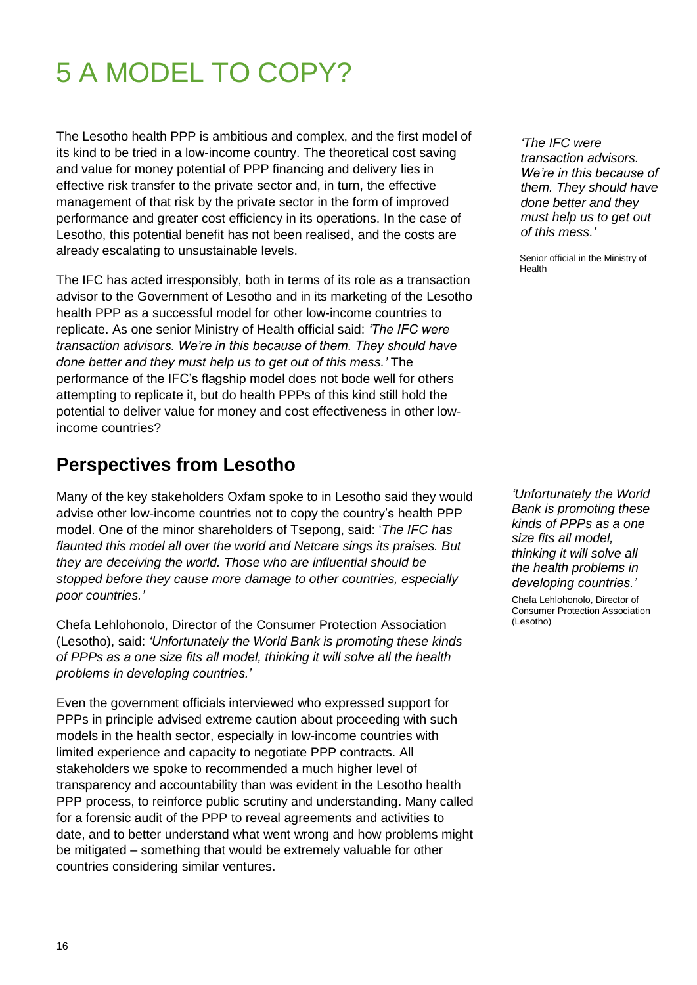# 5 A MODEL TO COPY?

The Lesotho health PPP is ambitious and complex, and the first model of its kind to be tried in a low-income country. The theoretical cost saving and value for money potential of PPP financing and delivery lies in effective risk transfer to the private sector and, in turn, the effective management of that risk by the private sector in the form of improved performance and greater cost efficiency in its operations. In the case of Lesotho, this potential benefit has not been realised, and the costs are already escalating to unsustainable levels.

The IFC has acted irresponsibly, both in terms of its role as a transaction advisor to the Government of Lesotho and in its marketing of the Lesotho health PPP as a successful model for other low-income countries to replicate. As one senior Ministry of Health official said: *'The IFC were transaction advisors. We're in this because of them. They should have done better and they must help us to get out of this mess.'* The performance of the IFC's flagship model does not bode well for others attempting to replicate it, but do health PPPs of this kind still hold the potential to deliver value for money and cost effectiveness in other lowincome countries?

### **Perspectives from Lesotho**

Many of the key stakeholders Oxfam spoke to in Lesotho said they would advise other low-income countries not to copy the country's health PPP model. One of the minor shareholders of Tsepong, said: ‗*The IFC has flaunted this model all over the world and Netcare sings its praises. But they are deceiving the world. Those who are influential should be stopped before they cause more damage to other countries, especially poor countries.'*

Chefa Lehlohonolo, Director of the Consumer Protection Association (Lesotho), said: *'Unfortunately the World Bank is promoting these kinds of PPPs as a one size fits all model, thinking it will solve all the health problems in developing countries.'*

Even the government officials interviewed who expressed support for PPPs in principle advised extreme caution about proceeding with such models in the health sector, especially in low-income countries with limited experience and capacity to negotiate PPP contracts. All stakeholders we spoke to recommended a much higher level of transparency and accountability than was evident in the Lesotho health PPP process, to reinforce public scrutiny and understanding. Many called for a forensic audit of the PPP to reveal agreements and activities to date, and to better understand what went wrong and how problems might be mitigated – something that would be extremely valuable for other countries considering similar ventures.

*'The IFC were transaction advisors. We're in this because of them. They should have done better and they must help us to get out of this mess.'*

Senior official in the Ministry of Health

*'Unfortunately the World Bank is promoting these kinds of PPPs as a one size fits all model, thinking it will solve all the health problems in developing countries.'*

Chefa Lehlohonolo, Director of Consumer Protection Association (Lesotho)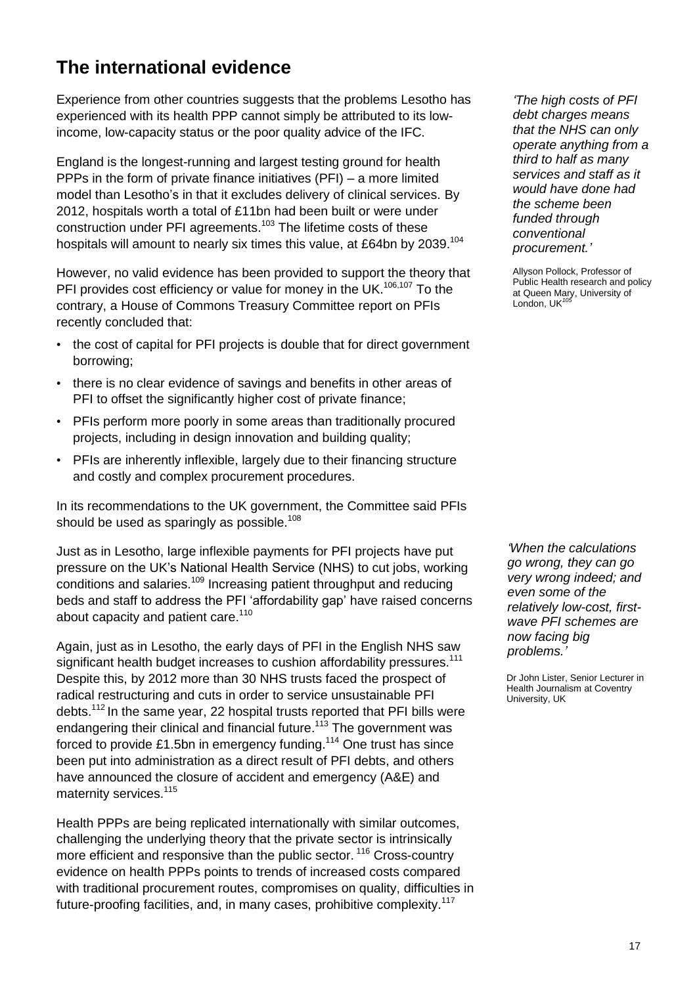### **The international evidence**

Experience from other countries suggests that the problems Lesotho has experienced with its health PPP cannot simply be attributed to its lowincome, low-capacity status or the poor quality advice of the IFC.

England is the longest-running and largest testing ground for health PPPs in the form of private finance initiatives (PFI) – a more limited model than Lesotho's in that it excludes delivery of clinical services. By 2012, hospitals worth a total of £11bn had been built or were under construction under PFI agreements.<sup>103</sup> The lifetime costs of these hospitals will amount to nearly six times this value, at £64bn by 2039.<sup>104</sup>

However, no valid evidence has been provided to support the theory that PFI provides cost efficiency or value for money in the UK.<sup>106,107</sup> To the contrary, a House of Commons Treasury Committee report on PFIs recently concluded that:

- the cost of capital for PFI projects is double that for direct government borrowing;
- there is no clear evidence of savings and benefits in other areas of PFI to offset the significantly higher cost of private finance;
- PFIs perform more poorly in some areas than traditionally procured projects, including in design innovation and building quality;
- PFIs are inherently inflexible, largely due to their financing structure and costly and complex procurement procedures.

In its recommendations to the UK government, the Committee said PFIs should be used as sparingly as possible.<sup>108</sup>

Just as in Lesotho, large inflexible payments for PFI projects have put pressure on the UK's National Health Service (NHS) to cut jobs, working conditions and salaries.<sup>109</sup> Increasing patient throughput and reducing beds and staff to address the PFI ‗affordability gap' have raised concerns about capacity and patient care.<sup>110</sup>

Again, just as in Lesotho, the early days of PFI in the English NHS saw significant health budget increases to cushion affordability pressures.<sup>111</sup> Despite this, by 2012 more than 30 NHS trusts faced the prospect of radical restructuring and cuts in order to service unsustainable PFI debts.<sup>112</sup> In the same year, 22 hospital trusts reported that PFI bills were endangering their clinical and financial future.<sup>113</sup> The government was forced to provide £1.5bn in emergency funding.<sup>114</sup> One trust has since been put into administration as a direct result of PFI debts, and others have announced the closure of accident and emergency (A&E) and maternity services.<sup>115</sup>

Health PPPs are being replicated internationally with similar outcomes, challenging the underlying theory that the private sector is intrinsically more efficient and responsive than the public sector. <sup>116</sup> Cross-country evidence on health PPPs points to trends of increased costs compared with traditional procurement routes, compromises on quality, difficulties in future-proofing facilities, and, in many cases, prohibitive complexity.<sup>117</sup>

*'The high costs of PFI debt charges means that the NHS can only operate anything from a third to half as many services and staff as it would have done had the scheme been funded through conventional procurement.'*

Allyson Pollock, Professor of Public Health research and policy at Queen Mary, University of London, UK<sup>10</sup>

*'When the calculations go wrong, they can go very wrong indeed; and even some of the relatively low-cost, firstwave PFI schemes are now facing big problems.'* 

Dr John Lister, Senior Lecturer in Health Journalism at Coventry University, UK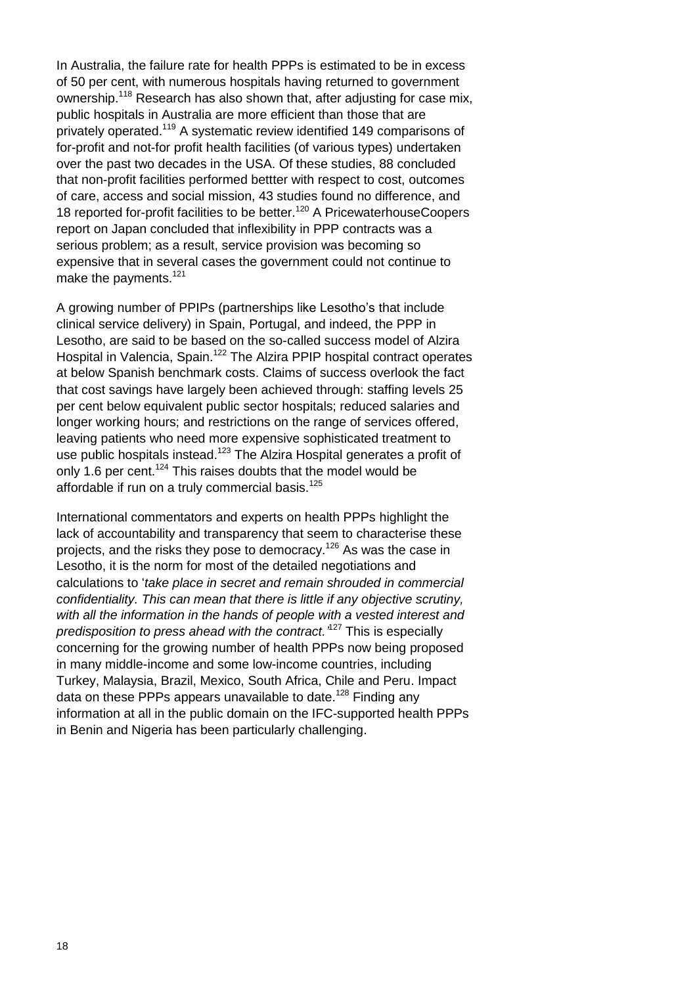In Australia, the failure rate for health PPPs is estimated to be in excess of 50 per cent, with numerous hospitals having returned to government ownership.<sup>118</sup> Research has also shown that, after adjusting for case mix, public hospitals in Australia are more efficient than those that are privately operated.<sup>119</sup> A systematic review identified 149 comparisons of for-profit and not-for profit health facilities (of various types) undertaken over the past two decades in the USA. Of these studies, 88 concluded that non-profit facilities performed bettter with respect to cost, outcomes of care, access and social mission, 43 studies found no difference, and 18 reported for-profit facilities to be better.<sup>120</sup> A PricewaterhouseCoopers report on Japan concluded that inflexibility in PPP contracts was a serious problem; as a result, service provision was becoming so expensive that in several cases the government could not continue to make the payments. $121$ 

A growing number of PPIPs (partnerships like Lesotho's that include clinical service delivery) in Spain, Portugal, and indeed, the PPP in Lesotho, are said to be based on the so-called success model of Alzira Hospital in Valencia, Spain.<sup>122</sup> The Alzira PPIP hospital contract operates at below Spanish benchmark costs. Claims of success overlook the fact that cost savings have largely been achieved through: staffing levels 25 per cent below equivalent public sector hospitals; reduced salaries and longer working hours; and restrictions on the range of services offered, leaving patients who need more expensive sophisticated treatment to use public hospitals instead.<sup>123</sup> The Alzira Hospital generates a profit of only 1.6 per cent.<sup>124</sup> This raises doubts that the model would be affordable if run on a truly commercial basis.<sup>125</sup>

International commentators and experts on health PPPs highlight the lack of accountability and transparency that seem to characterise these projects, and the risks they pose to democracy.<sup>126</sup> As was the case in Lesotho, it is the norm for most of the detailed negotiations and calculations to ‗*take place in secret and remain shrouded in commercial confidentiality. This can mean that there is little if any objective scrutiny, with all the information in the hands of people with a vested interest and predisposition to press ahead with the contract.'* <sup>127</sup> This is especially concerning for the growing number of health PPPs now being proposed in many middle-income and some low-income countries, including Turkey, Malaysia, Brazil, Mexico, South Africa, Chile and Peru. Impact data on these PPPs appears unavailable to date.<sup>128</sup> Finding any information at all in the public domain on the IFC-supported health PPPs in Benin and Nigeria has been particularly challenging.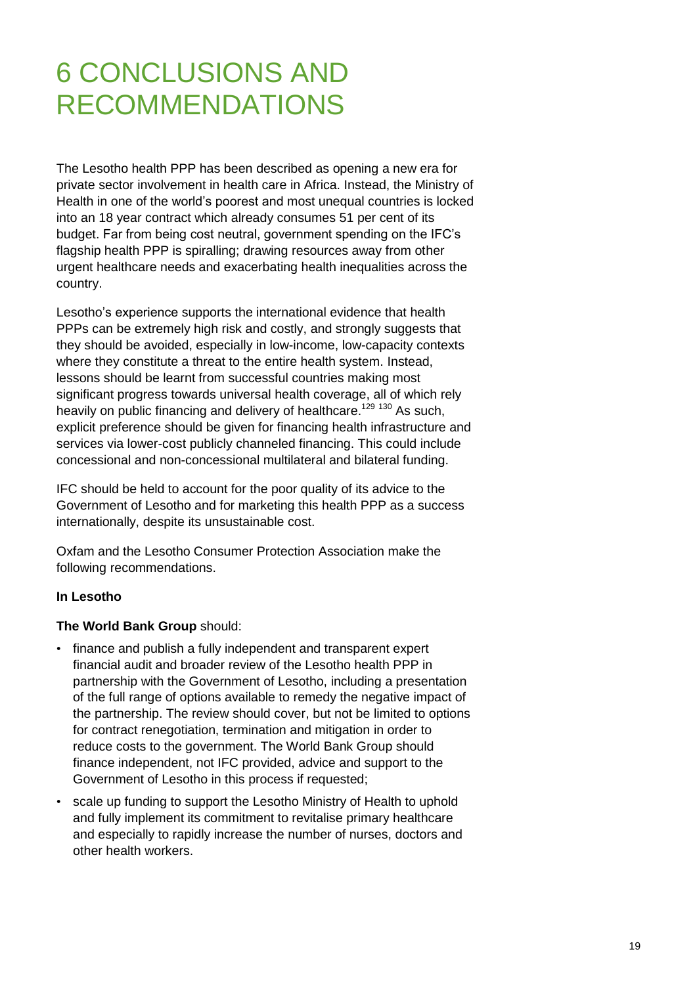# 6 CONCLUSIONS AND RECOMMENDATIONS

The Lesotho health PPP has been described as opening a new era for private sector involvement in health care in Africa. Instead, the Ministry of Health in one of the world's poorest and most unequal countries is locked into an 18 year contract which already consumes 51 per cent of its budget. Far from being cost neutral, government spending on the IFC's flagship health PPP is spiralling; drawing resources away from other urgent healthcare needs and exacerbating health inequalities across the country.

Lesotho's experience supports the international evidence that health PPPs can be extremely high risk and costly, and strongly suggests that they should be avoided, especially in low-income, low-capacity contexts where they constitute a threat to the entire health system. Instead, lessons should be learnt from successful countries making most significant progress towards universal health coverage, all of which rely heavily on public financing and delivery of healthcare.<sup>129 130</sup> As such, explicit preference should be given for financing health infrastructure and services via lower-cost publicly channeled financing. This could include concessional and non-concessional multilateral and bilateral funding.

IFC should be held to account for the poor quality of its advice to the Government of Lesotho and for marketing this health PPP as a success internationally, despite its unsustainable cost.

Oxfam and the Lesotho Consumer Protection Association make the following recommendations.

#### **In Lesotho**

#### **The World Bank Group** should:

- finance and publish a fully independent and transparent expert financial audit and broader review of the Lesotho health PPP in partnership with the Government of Lesotho, including a presentation of the full range of options available to remedy the negative impact of the partnership. The review should cover, but not be limited to options for contract renegotiation, termination and mitigation in order to reduce costs to the government. The World Bank Group should finance independent, not IFC provided, advice and support to the Government of Lesotho in this process if requested;
- scale up funding to support the Lesotho Ministry of Health to uphold and fully implement its commitment to revitalise primary healthcare and especially to rapidly increase the number of nurses, doctors and other health workers.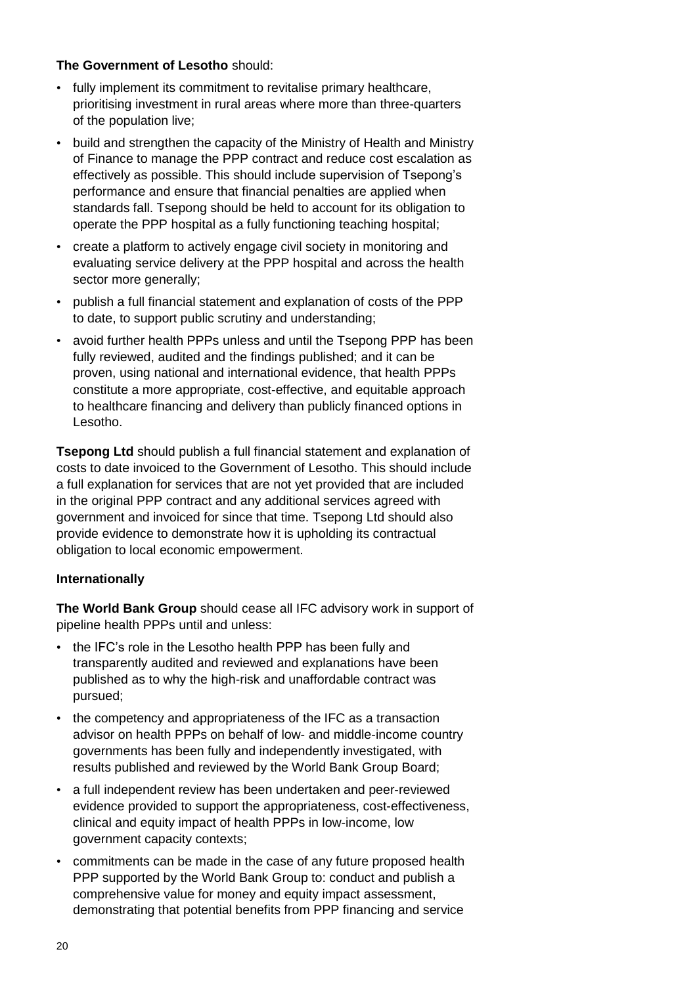#### **The Government of Lesotho** should:

- fully implement its commitment to revitalise primary healthcare, prioritising investment in rural areas where more than three-quarters of the population live;
- build and strengthen the capacity of the Ministry of Health and Ministry of Finance to manage the PPP contract and reduce cost escalation as effectively as possible. This should include supervision of Tsepong's performance and ensure that financial penalties are applied when standards fall. Tsepong should be held to account for its obligation to operate the PPP hospital as a fully functioning teaching hospital;
- create a platform to actively engage civil society in monitoring and evaluating service delivery at the PPP hospital and across the health sector more generally;
- publish a full financial statement and explanation of costs of the PPP to date, to support public scrutiny and understanding;
- avoid further health PPPs unless and until the Tsepong PPP has been fully reviewed, audited and the findings published; and it can be proven, using national and international evidence, that health PPPs constitute a more appropriate, cost-effective, and equitable approach to healthcare financing and delivery than publicly financed options in Lesotho.

**Tsepong Ltd** should publish a full financial statement and explanation of costs to date invoiced to the Government of Lesotho. This should include a full explanation for services that are not yet provided that are included in the original PPP contract and any additional services agreed with government and invoiced for since that time. Tsepong Ltd should also provide evidence to demonstrate how it is upholding its contractual obligation to local economic empowerment.

#### **Internationally**

**The World Bank Group** should cease all IFC advisory work in support of pipeline health PPPs until and unless:

- the IFC's role in the Lesotho health PPP has been fully and transparently audited and reviewed and explanations have been published as to why the high-risk and unaffordable contract was pursued;
- the competency and appropriateness of the IFC as a transaction advisor on health PPPs on behalf of low- and middle-income country governments has been fully and independently investigated, with results published and reviewed by the World Bank Group Board;
- a full independent review has been undertaken and peer-reviewed evidence provided to support the appropriateness, cost-effectiveness, clinical and equity impact of health PPPs in low-income, low government capacity contexts;
- commitments can be made in the case of any future proposed health PPP supported by the World Bank Group to: conduct and publish a comprehensive value for money and equity impact assessment, demonstrating that potential benefits from PPP financing and service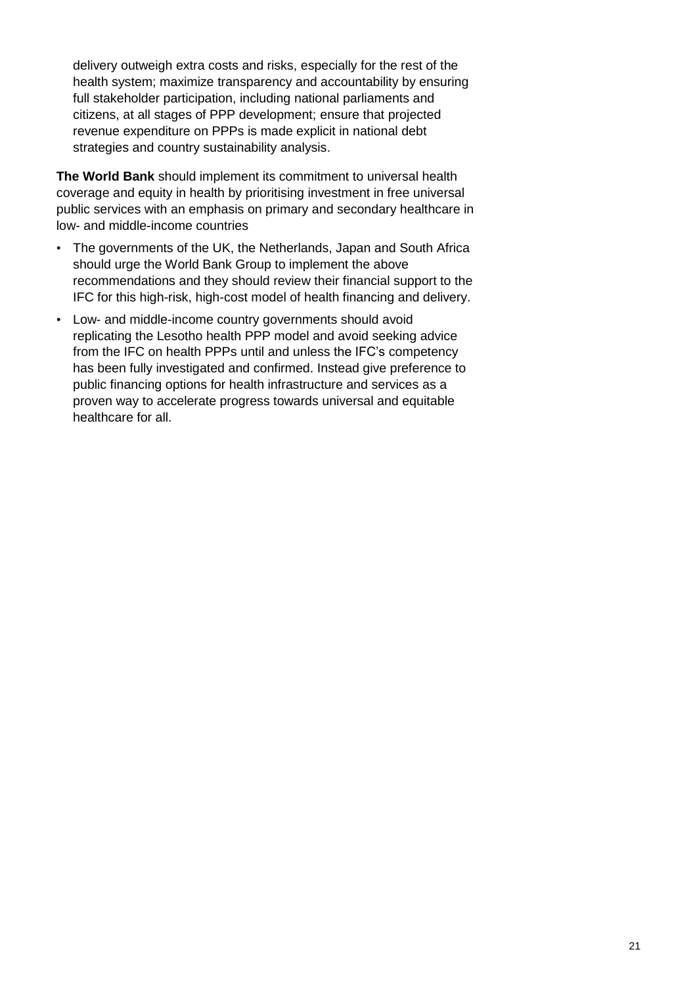delivery outweigh extra costs and risks, especially for the rest of the health system; maximize transparency and accountability by ensuring full stakeholder participation, including national parliaments and citizens, at all stages of PPP development; ensure that projected revenue expenditure on PPPs is made explicit in national debt strategies and country sustainability analysis.

**The World Bank** should implement its commitment to universal health coverage and equity in health by prioritising investment in free universal public services with an emphasis on primary and secondary healthcare in low- and middle-income countries

- The governments of the UK, the Netherlands, Japan and South Africa should urge the World Bank Group to implement the above recommendations and they should review their financial support to the IFC for this high-risk, high-cost model of health financing and delivery.
- Low- and middle-income country governments should avoid replicating the Lesotho health PPP model and avoid seeking advice from the IFC on health PPPs until and unless the IFC's competency has been fully investigated and confirmed. Instead give preference to public financing options for health infrastructure and services as a proven way to accelerate progress towards universal and equitable healthcare for all.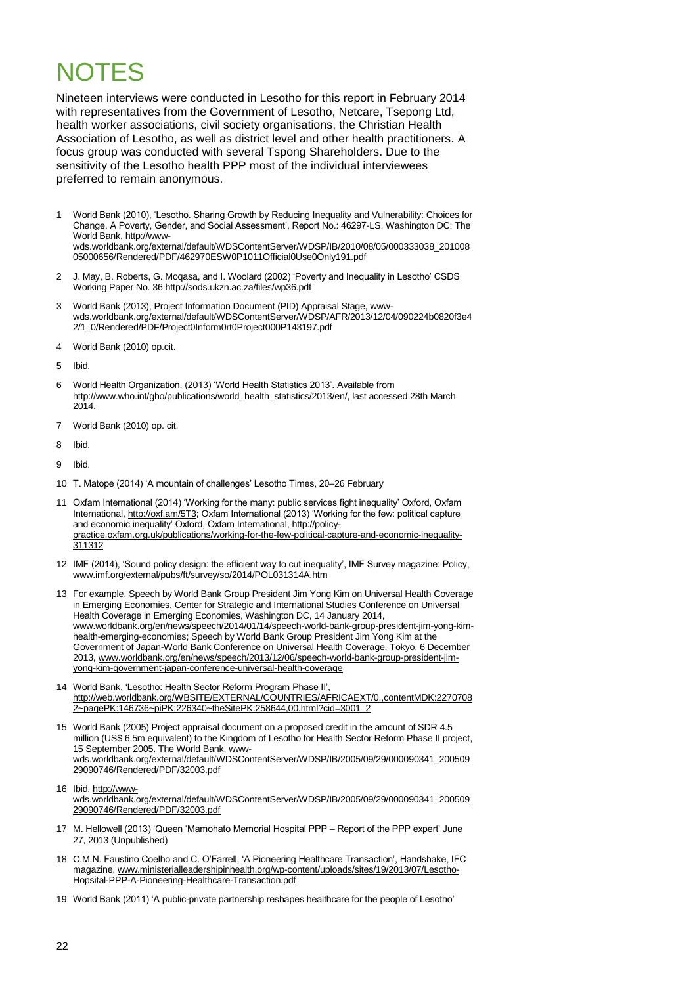### NOTES

Nineteen interviews were conducted in Lesotho for this report in February 2014 with representatives from the Government of Lesotho, Netcare, Tsepong Ltd, health worker associations, civil society organisations, the Christian Health Association of Lesotho, as well as district level and other health practitioners. A focus group was conducted with several Tspong Shareholders. Due to the sensitivity of the Lesotho health PPP most of the individual interviewees preferred to remain anonymous.

- 1 World Bank (2010), ‗Lesotho. Sharing Growth by Reducing Inequality and Vulnerability: Choices for Change. A Poverty, Gender, and Social Assessment', Report No.: 46297-LS, Washington DC: The World Bank[, http://www](http://www-wds.worldbank.org/external/default/WDSContentServer/WDSP/IB/2010/08/05/000333038_20100805000656/Rendered/PDF/462970ESW0P1011Official0Use0Only191.pdf)[wds.worldbank.org/external/default/WDSContentServer/WDSP/IB/2010/08/05/000333038\\_201008](http://www-wds.worldbank.org/external/default/WDSContentServer/WDSP/IB/2010/08/05/000333038_20100805000656/Rendered/PDF/462970ESW0P1011Official0Use0Only191.pdf) [05000656/Rendered/PDF/462970ESW0P1011Official0Use0Only191.pdf](http://www-wds.worldbank.org/external/default/WDSContentServer/WDSP/IB/2010/08/05/000333038_20100805000656/Rendered/PDF/462970ESW0P1011Official0Use0Only191.pdf)
- 2 J. May, B. Roberts, G. Moqasa, and I. Woolard (2002) ‗Poverty and Inequality in Lesotho' CSDS Working Paper No. 3[6 http://sods.ukzn.ac.za/files/wp36.pdf](http://sods.ukzn.ac.za/files/wp36.pdf)
- 3 World Bank (2013), Project Information Document (PID) Appraisal Stage, wwwwds.worldbank.org/external/default/WDSContentServer/WDSP/AFR/2013/12/04/090224b0820f3e4 2/1\_0/Rendered/PDF/Project0Inform0rt0Project000P143197.pdf
- 4 World Bank (2010) op.cit.

5 Ibid.

- 6 [World](file:///C:/Documents%20and%20Settings/amarriott/Local%20Settings/Temp/notes1C8406/World) Health Organization, (2013) ‗World Health Statistics 2013'. Available from [http://www.who.int/gho/publications/world\\_health\\_statistics/2013/en/,](http://www.who.int/gho/publications/world_health_statistics/2013/en/) last accessed 28th March 2014.
- 7 World Bank (2010) op. cit.
- 8 Ibid.
- 9 Ibid.
- 10 T. Matope (2014) 'A mountain of challenges' Lesotho Times, 20-26 February
- 11 Oxfam International (2014) ‗Working for the many: public services fight inequality' Oxford, Oxfam International[, http://oxf.am/5T3;](http://oxf.am/5T3) Oxfam International (2013) ‗Working for the few: political capture and economic inequality' Oxford, Oxfam International[, http://policy](http://policy-practice.oxfam.org.uk/publications/working-for-the-few-political-capture-and-economic-inequality-311312)[practice.oxfam.org.uk/publications/working-for-the-few-political-capture-and-economic-inequality-](http://policy-practice.oxfam.org.uk/publications/working-for-the-few-political-capture-and-economic-inequality-311312)[311312](http://policy-practice.oxfam.org.uk/publications/working-for-the-few-political-capture-and-economic-inequality-311312)
- 12 IMF (2014), 'Sound policy design: the efficient way to cut inequality', IMF Survey magazine: Policy, [www.imf.org/external/pubs/ft/survey/so/2014/POL031314A.htm](http://www.imf.org/external/pubs/ft/survey/so/2014/POL031314A.htm)
- 13 For example, Speech by World Bank Group President Jim Yong Kim on Universal Health Coverage in Emerging Economies, Center for Strategic and International Studies Conference on Universal Health Coverage in Emerging Economies, Washington DC, 14 January 2014, [www.worldbank.org/en/news/speech/2014/01/14/speech-world-bank-group-president-jim-yong-kim](http://www.worldbank.org/en/news/speech/2014/01/14/speech-world-bank-group-president-jim-yong-kim-health-emerging-economies)[health-emerging-economies;](http://www.worldbank.org/en/news/speech/2014/01/14/speech-world-bank-group-president-jim-yong-kim-health-emerging-economies) Speech by World Bank Group President Jim Yong Kim at the Government of Japan-World Bank Conference on Universal Health Coverage, Tokyo, 6 December 2013, [www.worldbank.org/en/news/speech/2013/12/06/speech-world-bank-group-president-jim](http://www.worldbank.org/en/news/speech/2013/12/06/speech-world-bank-group-president-jim-yong-kim-government-japan-conference-universal-health-coverage)[yong-kim-government-japan-conference-universal-health-coverage](http://www.worldbank.org/en/news/speech/2013/12/06/speech-world-bank-group-president-jim-yong-kim-government-japan-conference-universal-health-coverage)
- 14 World Bank, 'Lesotho: Health Sector Reform Program Phase II', [http://web.worldbank.org/WBSITE/EXTERNAL/COUNTRIES/AFRICAEXT/0,,contentMDK:2270708](http://web.worldbank.org/WBSITE/EXTERNAL/COUNTRIES/AFRICAEXT/0,,contentMDK:22707082~pagePK:146736~piPK:226340~theSitePK:258644,00.html?cid=3001_2) [2~pagePK:146736~piPK:226340~theSitePK:258644,00.html?cid=3001\\_2](http://web.worldbank.org/WBSITE/EXTERNAL/COUNTRIES/AFRICAEXT/0,,contentMDK:22707082~pagePK:146736~piPK:226340~theSitePK:258644,00.html?cid=3001_2)
- 15 World Bank (2005) Project appraisal document on a proposed credit in the amount of SDR 4.5 million (US\$ 6.5m equivalent) to the Kingdom of Lesotho for Health Sector Reform Phase II project, 15 September 2005. The World Bank, wwwwds.worldbank.org/external/default/WDSContentServer/WDSP/IB/2005/09/29/000090341\_200509 29090746/Rendered/PDF/32003.pdf
- 16 Ibid[. http://www](http://www-wds.worldbank.org/external/default/WDSContentServer/WDSP/IB/2005/09/29/000090341_20050929090746/Rendered/PDF/32003.pdf)[wds.worldbank.org/external/default/WDSContentServer/WDSP/IB/2005/09/29/000090341\\_200509](http://www-wds.worldbank.org/external/default/WDSContentServer/WDSP/IB/2005/09/29/000090341_20050929090746/Rendered/PDF/32003.pdf) [29090746/Rendered/PDF/32003.pdf](http://www-wds.worldbank.org/external/default/WDSContentServer/WDSP/IB/2005/09/29/000090341_20050929090746/Rendered/PDF/32003.pdf)
- 17 M. Hellowell (2013) 'Queen 'Mamohato Memorial Hospital PPP Report of the PPP expert' June 27, 2013 (Unpublished)
- 18 C.M.N. Faustino Coelho and C. O'Farrell, ‗A Pioneering Healthcare Transaction', Handshake, IFC magazine[, www.ministerialleadershipinhealth.org/wp-content/uploads/sites/19/2013/07/Lesotho-](http://www.ministerialleadershipinhealth.org/wp-content/uploads/sites/19/2013/07/Lesotho-Hopsital-PPP-A-Pioneering-Healthcare-Transaction.pdf)[Hopsital-PPP-A-Pioneering-Healthcare-Transaction.pdf](http://www.ministerialleadershipinhealth.org/wp-content/uploads/sites/19/2013/07/Lesotho-Hopsital-PPP-A-Pioneering-Healthcare-Transaction.pdf)
- 19 World Bank (2011) 'A public-private partnership reshapes healthcare for the people of Lesotho'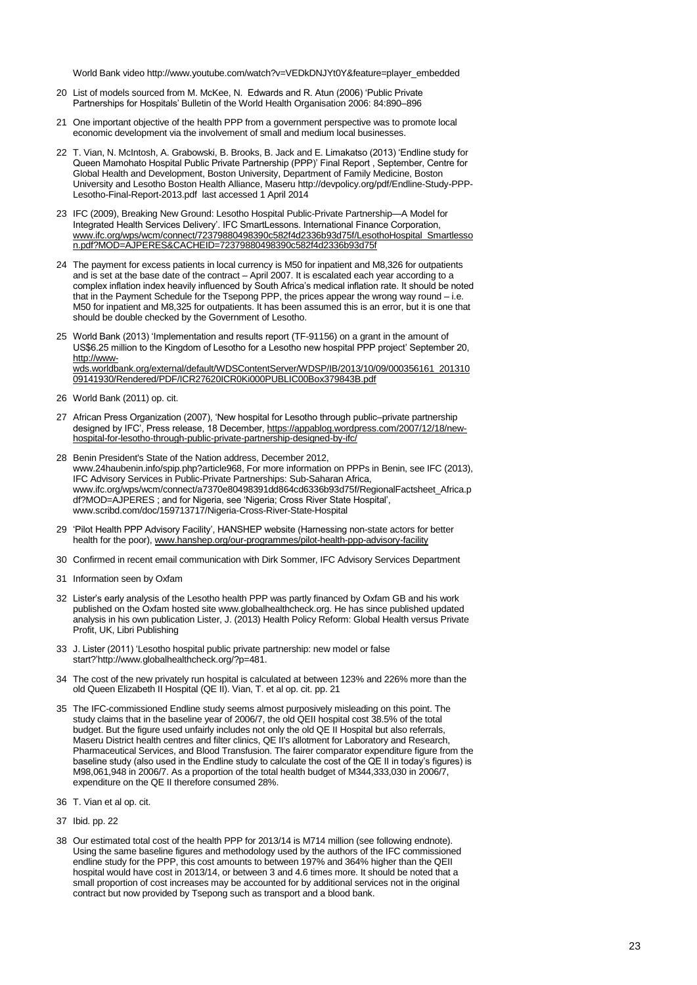World Bank video http://www.youtube.com/watch?v=VEDkDNJYt0Y&feature=player\_embedded

- 20 List of models sourced from M. McKee, N. Edwards and R. Atun (2006) 'Public Private Partnerships for Hospitals' Bulletin of the World Health Organisation 2006: 84:890–896
- 21 One important objective of the health PPP from a government perspective was to promote local economic development via the involvement of small and medium local businesses.
- 22 T. Vian, N. McIntosh, A. Grabowski, B. Brooks, B. Jack and E. Limakatso (2013) 'Endline study for Queen Mamohato Hospital Public Private Partnership (PPP)' Final Report , September, Centre for Global Health and Development, Boston University, Department of Family Medicine, Boston University and Lesotho Boston Health Alliance, Maser[u http://devpolicy.org/pdf/Endline-Study-PPP-](http://devpolicy.org/pdf/Endline-Study-PPP-Lesotho-Final-Report-2013.pdf)[Lesotho-Final-Report-2013.pdf](http://devpolicy.org/pdf/Endline-Study-PPP-Lesotho-Final-Report-2013.pdf) last accessed 1 April 2014
- 23 IFC (2009), Breaking New Ground: Lesotho Hospital Public-Private Partnership—A Model for Integrated Health Services Delivery'. IFC SmartLessons. International Finance Corporation, [www.ifc.org/wps/wcm/connect/72379880498390c582f4d2336b93d75f/LesothoHospital\\_Smartlesso](http://www.ifc.org/wps/wcm/connect/72379880498390c582f4d2336b93d75f/LesothoHospital_Smartlesson.pdf?MOD=AJPERES&CACHEID=72379880498390c582f4d2336b93d75f) [n.pdf?MOD=AJPERES&CACHEID=72379880498390c582f4d2336b93d75f](http://www.ifc.org/wps/wcm/connect/72379880498390c582f4d2336b93d75f/LesothoHospital_Smartlesson.pdf?MOD=AJPERES&CACHEID=72379880498390c582f4d2336b93d75f)
- 24 The payment for excess patients in local currency is M50 for inpatient and M8,326 for outpatients and is set at the base date of the contract – April 2007. It is escalated each year according to a complex inflation index heavily influenced by South Africa's medical inflation rate. It should be noted that in the Payment Schedule for the Tsepong PPP, the prices appear the wrong way round – i.e. M50 for inpatient and M8,325 for outpatients. It has been assumed this is an error, but it is one that should be double checked by the Government of Lesotho.
- 25 World Bank (2013) 'Implementation and results report (TF-91156) on a grant in the amount of US\$6.25 million to the Kingdom of Lesotho for a Lesotho new hospital PPP project' September 20, [http://www](http://www-wds.worldbank.org/external/default/WDSContentServer/WDSP/IB/2013/10/09/000356161_20131009141930/Rendered/PDF/ICR27620ICR0Ki000PUBLIC00Box379843B.pdf)[wds.worldbank.org/external/default/WDSContentServer/WDSP/IB/2013/10/09/000356161\\_201310](http://www-wds.worldbank.org/external/default/WDSContentServer/WDSP/IB/2013/10/09/000356161_20131009141930/Rendered/PDF/ICR27620ICR0Ki000PUBLIC00Box379843B.pdf) [09141930/Rendered/PDF/ICR27620ICR0Ki000PUBLIC00Box379843B.pdf](http://www-wds.worldbank.org/external/default/WDSContentServer/WDSP/IB/2013/10/09/000356161_20131009141930/Rendered/PDF/ICR27620ICR0Ki000PUBLIC00Box379843B.pdf)
- 26 World Bank (2011) op. cit.
- 27 African Press Organization (2007), 'New hospital for Lesotho through public–private partnership designed by IFC', Press release, 18 December[, https://appablog.wordpress.com/2007/12/18/new](https://appablog.wordpress.com/2007/12/18/new-hospital-for-lesotho-through-public-private-partnership-designed-by-ifc/)[hospital-for-lesotho-through-public-private-partnership-designed-by-ifc/](https://appablog.wordpress.com/2007/12/18/new-hospital-for-lesotho-through-public-private-partnership-designed-by-ifc/)
- 28 Benin President's State of the Nation address, December 2012, [www.24haubenin.info/spip.php?article968,](http://www.24haubenin.info/spip.php?article968) For more information on PPPs in Benin, see IFC (2013), IFC Advisory Services in Public-Private Partnerships: Sub-Saharan Africa, [www.ifc.org/wps/wcm/connect/a7370e80498391dd864cd6336b93d75f/RegionalFactsheet\\_Africa.p](http://www.ifc.org/wps/wcm/connect/a7370e80498391dd864cd6336b93d75f/RegionalFactsheet_Africa.pdf?MOD=AJPERES) [df?MOD=AJPERES](http://www.ifc.org/wps/wcm/connect/a7370e80498391dd864cd6336b93d75f/RegionalFactsheet_Africa.pdf?MOD=AJPERES) ; and for Nigeria, see ‗Nigeria; Cross River State Hospital', [www.scribd.com/doc/159713717/Nigeria-Cross-River-State-Hospital](http://www.scribd.com/doc/159713717/Nigeria-Cross-River-State-Hospital)
- 29 ‗Pilot Health PPP Advisory Facility', HANSHEP website (Harnessing non-state actors for better health for the poor)[, www.hanshep.org/our-programmes/pilot-health-ppp-advisory-facility](http://www.hanshep.org/our-programmes/pilot-health-ppp-advisory-facility)
- 30 Confirmed in recent email communication with Dirk Sommer, IFC Advisory Services Department
- 31 Information seen by Oxfam
- 32 Lister's early analysis of the Lesotho health PPP was partly financed by Oxfam GB and his work published on the Oxfam hosted sit[e www.globalhealthcheck.org.](http://www.globalhealthcheck.org/) He has since published updated analysis in his own publication Lister, J. (2013) Health Policy Reform: Global Health versus Private Profit, UK, Libri Publishing
- 33 J. Lister (2011) [‗Lesotho hospital public private partnership: new model or false](http://www.globalhealthcheck.org/?p=481)  [start?'http://www.globalhealthcheck.org/?p=481.](http://www.globalhealthcheck.org/?p=481)
- 34 The cost of the new privately run hospital is calculated at between 123% and 226% more than the old Queen Elizabeth II Hospital (QE II). Vian, T. et al op. cit. pp. 21
- 35 The IFC-commissioned Endline study seems almost purposively misleading on this point. The study claims that in the baseline year of 2006/7, the old QEII hospital cost 38.5% of the total budget. But the figure used unfairly includes not only the old QE II Hospital but also referrals, Maseru District health centres and filter clinics, QE II's allotment for Laboratory and Research, Pharmaceutical Services, and Blood Transfusion. The fairer comparator expenditure figure from the baseline study (also used in the Endline study to calculate the cost of the QE II in today's figures) is M98,061,948 in 2006/7. As a proportion of the total health budget of M344,333,030 in 2006/7, expenditure on the QE II therefore consumed 28%.
- 36 T. Vian et al op. cit.
- 37 Ibid. pp. 22
- 38 Our estimated total cost of the health PPP for 2013/14 is M714 million (see following endnote). Using the same baseline figures and methodology used by the authors of the IFC commissioned endline study for the PPP, this cost amounts to between 197% and 364% higher than the QEII hospital would have cost in 2013/14, or between 3 and 4.6 times more. It should be noted that a small proportion of cost increases may be accounted for by additional services not in the original contract but now provided by Tsepong such as transport and a blood bank.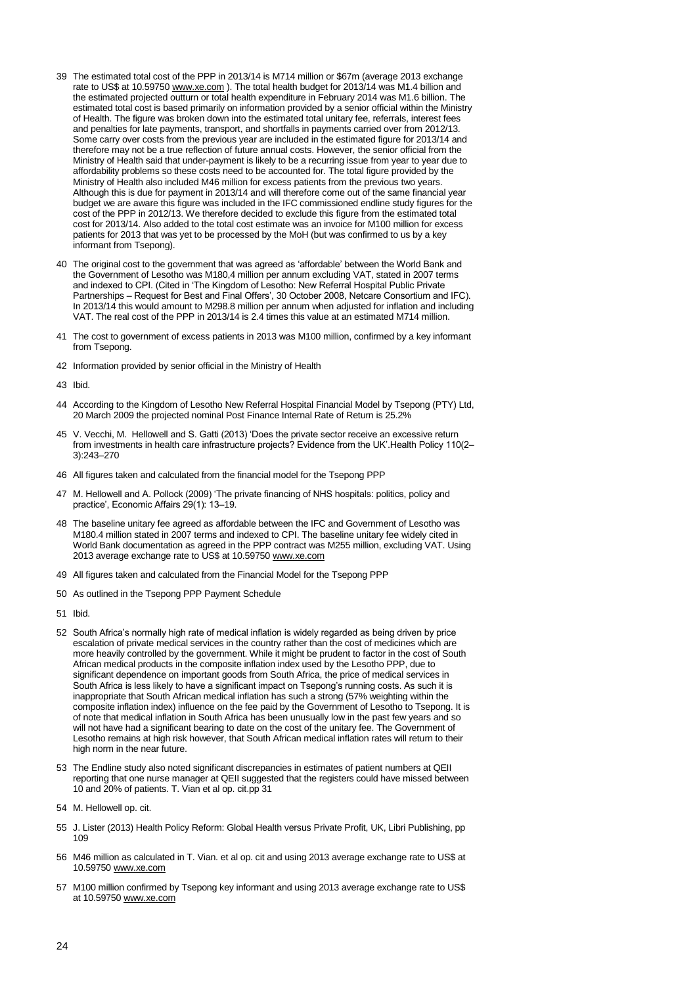- 39 The estimated total cost of the PPP in 2013/14 is M714 million or \$67m (average 2013 exchange rate to US\$ at 10.5975[0 www.xe.com](http://www.xe.com/) ). The total health budget for 2013/14 was M1.4 billion and the estimated projected outturn or total health expenditure in February 2014 was M1.6 billion. The estimated total cost is based primarily on information provided by a senior official within the Ministry of Health. The figure was broken down into the estimated total unitary fee, referrals, interest fees and penalties for late payments, transport, and shortfalls in payments carried over from 2012/13. Some carry over costs from the previous year are included in the estimated figure for 2013/14 and therefore may not be a true reflection of future annual costs. However, the senior official from the Ministry of Health said that under-payment is likely to be a recurring issue from year to year due to affordability problems so these costs need to be accounted for. The total figure provided by the Ministry of Health also included M46 million for excess patients from the previous two years. Although this is due for payment in 2013/14 and will therefore come out of the same financial year budget we are aware this figure was included in the IFC commissioned endline study figures for the cost of the PPP in 2012/13. We therefore decided to exclude this figure from the estimated total cost for 2013/14. Also added to the total cost estimate was an invoice for M100 million for excess patients for 2013 that was yet to be processed by the MoH (but was confirmed to us by a key informant from Tsepong).
- 40 The original cost to the government that was agreed as ‗affordable' between the World Bank and the Government of Lesotho was M180,4 million per annum excluding VAT, stated in 2007 terms and indexed to CPI. (Cited in 'The Kingdom of Lesotho: New Referral Hospital Public Private Partnerships – Request for Best and Final Offers', 30 October 2008, Netcare Consortium and IFC). In 2013/14 this would amount to M298.8 million per annum when adjusted for inflation and including VAT. The real cost of the PPP in 2013/14 is 2.4 times this value at an estimated M714 million.
- 41 The cost to government of excess patients in 2013 was M100 million, confirmed by a key informant from Tsepong.
- 42 Information provided by senior official in the Ministry of Health
- 43 Ibid.
- 44 According to the Kingdom of Lesotho New Referral Hospital Financial Model by Tsepong (PTY) Ltd, 20 March 2009 the projected nominal Post Finance Internal Rate of Return is 25.2%
- 45 V. [Vecchi,](http://www.ncbi.nlm.nih.gov/pubmed?term=Vecchi%20V%5BAuthor%5D&cauthor=true&cauthor_uid=23332120) M. [Hellowell a](http://www.ncbi.nlm.nih.gov/pubmed?term=Hellowell%20M%5BAuthor%5D&cauthor=true&cauthor_uid=23332120)nd S. Gatti (2013) ‗Does the private sector receive an excessive return from investments in health care infrastructure projects? Evidence from the UK'.Health Policy 110(2– 3):243–270
- 46 All figures taken and calculated from the financial model for the Tsepong PPP
- 47 M. Hellowell and A. Pollock (2009) 'The private financing of NHS hospitals: politics, policy and practice', Economic Affairs 29(1): 13-19.
- 48 The baseline unitary fee agreed as affordable between the IFC and Government of Lesotho was M180.4 million stated in 2007 terms and indexed to CPI. The baseline unitary fee widely cited in World Bank documentation as agreed in the PPP contract was M255 million, excluding VAT. Using 2013 average exchange rate to US\$ at 10.59750 [www.xe.com](http://www.xe.com/)
- 49 All figures taken and calculated from the Financial Model for the Tsepong PPP
- 50 As outlined in the Tsepong PPP Payment Schedule
- 51 Ibid.
- 52 South Africa's normally high rate of medical inflation is widely regarded as being driven by price escalation of private medical services in the country rather than the cost of medicines which are more heavily controlled by the government. While it might be prudent to factor in the cost of South African medical products in the composite inflation index used by the Lesotho PPP, due to significant dependence on important goods from South Africa, the price of medical services in South Africa is less likely to have a significant impact on Tsepong's running costs. As such it is inappropriate that South African medical inflation has such a strong (57% weighting within the composite inflation index) influence on the fee paid by the Government of Lesotho to Tsepong. It is of note that medical inflation in South Africa has been unusually low in the past few years and so will not have had a significant bearing to date on the cost of the unitary fee. The Government of Lesotho remains at high risk however, that South African medical inflation rates will return to their high norm in the near future.
- 53 The Endline study also noted significant discrepancies in estimates of patient numbers at QEII reporting that one nurse manager at QEII suggested that the registers could have missed between 10 and 20% of patients. T. Vian et al op. cit.pp 31
- 54 M. Hellowell op. cit.
- 55 J. Lister (2013) Health Policy Reform: Global Health versus Private Profit, UK, Libri Publishing, pp  $109$
- 56 M46 million as calculated in T. Vian. et al op. cit and using 2013 average exchange rate to US\$ at 10.59750 [www.xe.com](http://www.xe.com/)
- 57 M100 million confirmed by Tsepong key informant and using 2013 average exchange rate to US\$ at 10.5975[0 www.xe.com](http://www.xe.com/)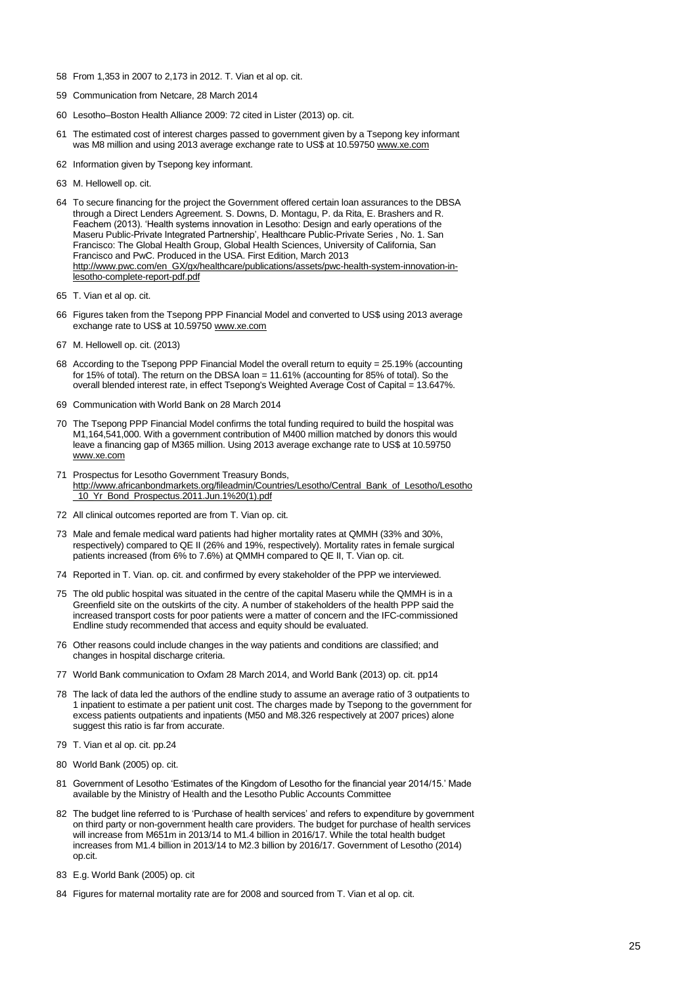- 58 From 1,353 in 2007 to 2,173 in 2012. T. Vian et al op. cit.
- 59 Communication from Netcare, 28 March 2014
- 60 Lesotho–Boston Health Alliance 2009: 72 cited in Lister (2013) op. cit.
- 61 The estimated cost of interest charges passed to government given by a Tsepong key informant was M8 million and using 2013 average exchange rate to US\$ at 10.5975[0 www.xe.com](http://www.xe.com/)
- 62 Information given by Tsepong key informant.
- 63 M. Hellowell op. cit.
- 64 To secure financing for the project the Government offered certain loan assurances to the DBSA through a Direct Lenders Agreement. S. Downs, D. Montagu, P. da Rita, E. Brashers and R. Feachem (2013). 'Health systems innovation in Lesotho: Design and early operations of the Maseru Public-Private Integrated Partnership', Healthcare Public-Private Series , No. 1. San Francisco: The Global Health Group, Global Health Sciences, University of California, San Francisco and PwC. Produced in the USA. First Edition, March 2013 [http://www.pwc.com/en\\_GX/gx/healthcare/publications/assets/pwc-health-system-innovation-in](http://www.pwc.com/en_GX/gx/healthcare/publications/assets/pwc-health-system-innovation-in-lesotho-complete-report-pdf.pdf)[lesotho-complete-report-pdf.pdf](http://www.pwc.com/en_GX/gx/healthcare/publications/assets/pwc-health-system-innovation-in-lesotho-complete-report-pdf.pdf)
- 65 T. Vian et al op. cit.
- 66 Figures taken from the Tsepong PPP Financial Model and converted to US\$ using 2013 average exchange rate to US\$ at 10.5975[0 www.xe.com](http://www.xe.com/)
- 67 M. Hellowell op. cit. (2013)
- 68 According to the Tsepong PPP Financial Model the overall return to equity = 25.19% (accounting for 15% of total). The return on the DBSA loan = 11.61% (accounting for 85% of total). So the overall blended interest rate, in effect Tsepong's Weighted Average Cost of Capital = 13.647%.
- 69 Communication with World Bank on 28 March 2014
- 70 The Tsepong PPP Financial Model confirms the total funding required to build the hospital was M1,164,541,000. With a government contribution of M400 million matched by donors this would leave a financing gap of M365 million. Using 2013 average exchange rate to US\$ at 10.59750 [www.xe.com](http://www.xe.com/)
- 71 Prospectus for Lesotho Government Treasury Bonds, [http://www.africanbondmarkets.org/fileadmin/Countries/Lesotho/Central\\_Bank\\_of\\_Lesotho/Lesotho](http://www.africanbondmarkets.org/fileadmin/Countries/Lesotho/Central_Bank_of_Lesotho/Lesotho_10_Yr_Bond_Prospectus.2011.Jun.1%20(1).pdf) [\\_10\\_Yr\\_Bond\\_Prospectus.2011.Jun.1%20\(1\).pdf](http://www.africanbondmarkets.org/fileadmin/Countries/Lesotho/Central_Bank_of_Lesotho/Lesotho_10_Yr_Bond_Prospectus.2011.Jun.1%20(1).pdf)
- 72 All clinical outcomes reported are from T. Vian op. cit.
- 73 Male and female medical ward patients had higher mortality rates at QMMH (33% and 30%, respectively) compared to QE II (26% and 19%, respectively). Mortality rates in female surgical patients increased (from 6% to 7.6%) at QMMH compared to QE II, T. Vian op. cit.
- 74 Reported in T. Vian. op. cit. and confirmed by every stakeholder of the PPP we interviewed.
- 75 The old public hospital was situated in the centre of the capital Maseru while the QMMH is in a Greenfield site on the outskirts of the city. A number of stakeholders of the health PPP said the increased transport costs for poor patients were a matter of concern and the IFC-commissioned Endline study recommended that access and equity should be evaluated.
- 76 Other reasons could include changes in the way patients and conditions are classified; and changes in hospital discharge criteria.
- 77 World Bank communication to Oxfam 28 March 2014, and World Bank (2013) op. cit. pp14
- 78 The lack of data led the authors of the endline study to assume an average ratio of 3 outpatients to 1 inpatient to estimate a per patient unit cost. The charges made by Tsepong to the government for excess patients outpatients and inpatients (M50 and M8.326 respectively at 2007 prices) alone suggest this ratio is far from accurate.
- 79 T. Vian et al op. cit. pp.24
- 80 World Bank (2005) op. cit.
- 81 Government of Lesotho 'Estimates of the Kingdom of Lesotho for the financial year 2014/15.' Made available by the Ministry of Health and the Lesotho Public Accounts Committee
- 82 The budget line referred to is 'Purchase of health services' and refers to expenditure by government on third party or non-government health care providers. The budget for purchase of health services will increase from M651m in 2013/14 to M1.4 billion in 2016/17. While the total health budget increases from M1.4 billion in 2013/14 to M2.3 billion by 2016/17. Government of Lesotho (2014) op.cit.
- 83 E.g. World Bank (2005) op. cit
- 84 Figures for maternal mortality rate are for 2008 and sourced from T. Vian et al op. cit.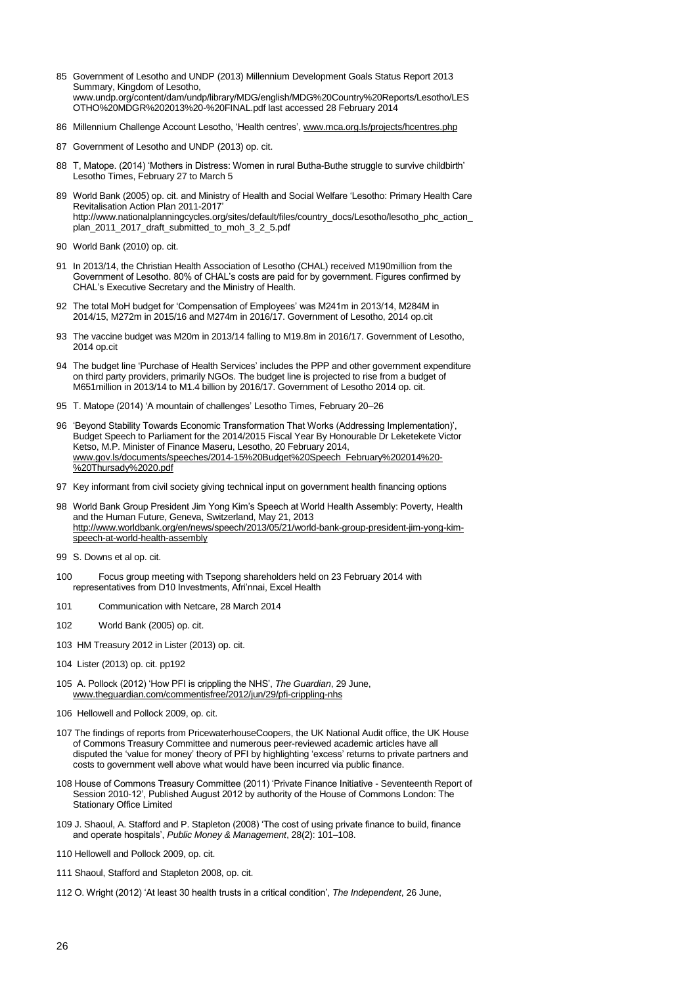- 85 Government of Lesotho and UNDP (2013) Millennium Development Goals Status Report 2013 Summary, Kingdom of Lesotho, [www.undp.org/content/dam/undp/library/MDG/english/MDG%20Country%20Reports/Lesotho/LES](http://www.undp.org/content/dam/undp/library/MDG/english/MDG%20Country%20Reports/Lesotho/LESOTHO%20MDGR%202013%20-%20FINAL.pdf) [OTHO%20MDGR%202013%20-%20FINAL.pdf](http://www.undp.org/content/dam/undp/library/MDG/english/MDG%20Country%20Reports/Lesotho/LESOTHO%20MDGR%202013%20-%20FINAL.pdf) last accessed 28 February 2014
- 86 Millennium Challenge Account Lesotho, 'Health centres'[, www.mca.org.ls/projects/hcentres.php](http://www.mca.org.ls/projects/hcentres.php)
- 87 Government of Lesotho and UNDP (2013) op. cit.
- 88 T, Matope. (2014) 'Mothers in Distress: Women in rural Butha-Buthe struggle to survive childbirth' Lesotho Times, February 27 to March 5
- 89 World Bank (2005) op. cit. and Ministry of Health and Social Welfare ‗Lesotho: Primary Health Care Revitalisation Action Plan 2011-2017' [http://www.nationalplanningcycles.org/sites/default/files/country\\_docs/Lesotho/lesotho\\_phc\\_action\\_](http://www.nationalplanningcycles.org/sites/default/files/country_docs/Lesotho/lesotho_phc_action_plan_2011_2017_draft_submitted_to_moh_3_2_5.pdf) [plan\\_2011\\_2017\\_draft\\_submitted\\_to\\_moh\\_3\\_2\\_5.pdf](http://www.nationalplanningcycles.org/sites/default/files/country_docs/Lesotho/lesotho_phc_action_plan_2011_2017_draft_submitted_to_moh_3_2_5.pdf)
- 90 World Bank (2010) op. cit.
- 91 In 2013/14, the Christian Health Association of Lesotho (CHAL) received M190million from the Government of Lesotho. 80% of CHAL's costs are paid for by government. Figures confirmed by CHAL's Executive Secretary and the Ministry of Health.
- 92 The total MoH budget for 'Compensation of Employees' was M241m in 2013/14, M284M in 2014/15, M272m in 2015/16 and M274m in 2016/17. Government of Lesotho, 2014 op.cit
- 93 The vaccine budget was M20m in 2013/14 falling to M19.8m in 2016/17. Government of Lesotho, 2014 op.cit
- 94 The budget line 'Purchase of Health Services' includes the PPP and other government expenditure on third party providers, primarily NGOs. The budget line is projected to rise from a budget of M651million in 2013/14 to M1.4 billion by 2016/17. Government of Lesotho 2014 op. cit.
- 95 T. Matope (2014) 'A mountain of challenges' Lesotho Times, February 20-26
- 96 'Beyond Stability Towards Economic Transformation That Works (Addressing Implementation)', Budget Speech to Parliament for the 2014/2015 Fiscal Year By Honourable Dr Leketekete Victor Ketso, M.P. Minister of Finance Maseru, Lesotho, 20 February 2014, [www.gov.ls/documents/speeches/2014-15%20Budget%20Speech\\_February%202014%20-](http://www.gov.ls/documents/speeches/2014-15%20Budget%20Speech_February%202014%20-%20Thursady%2020.pdf) [%20Thursady%2020.pdf](http://www.gov.ls/documents/speeches/2014-15%20Budget%20Speech_February%202014%20-%20Thursady%2020.pdf)
- 97 Key informant from civil society giving technical input on government health financing options
- 98 World Bank Group President Jim Yong Kim's Speech at World Health Assembly: Poverty, Health and the Human Future, Geneva, Switzerland, May 21, 2013 [http://www.worldbank.org/en/news/speech/2013/05/21/world-bank-group-president-jim-yong-kim](http://www.worldbank.org/en/news/speech/2013/05/21/world-bank-group-president-jim-yong-kim-speech-at-world-health-assembly)[speech-at-world-health-assembly](http://www.worldbank.org/en/news/speech/2013/05/21/world-bank-group-president-jim-yong-kim-speech-at-world-health-assembly)
- 99 S. Downs et al op. cit.
- 100 Focus group meeting with Tsepong shareholders held on 23 February 2014 with representatives from D10 Investments, Afri'nnai, Excel Health
- 101 Communication with Netcare, 28 March 2014
- 102 World Bank (2005) op. cit.
- 103 HM Treasury 2012 in Lister (2013) op. cit.
- 104 Lister (2013) op. cit. pp192
- 105 A. Pollock (2012) ‗How PFI is crippling the NHS', *The Guardian*, 29 June, [www.theguardian.com/commentisfree/2012/jun/29/pfi-crippling-nhs](http://www.theguardian.com/commentisfree/2012/jun/29/pfi-crippling-nhs)
- 106 Hellowell and Pollock 2009, op. cit.
- 107 The findings of reports from PricewaterhouseCoopers, the UK National Audit office, the UK House of Commons Treasury Committee and numerous peer-reviewed academic articles have all disputed the 'value for money' theory of PFI by highlighting 'excess' returns to private partners and costs to government well above what would have been incurred via public finance.
- 108 House of Commons Treasury Committee (2011) ‗Private Finance Initiative Seventeenth Report of Session 2010-12', Published August 2012 by authority of the House of Commons London: The Stationary Office Limited
- 109 J. Shaoul, A. Stafford and P. Stapleton (2008) 'The cost of using private finance to build, finance and operate hospitals', *Public Money & Management*, 28(2): 101–108.
- 110 Hellowell and Pollock 2009, op. cit.
- 111 Shaoul, Stafford and Stapleton 2008, op. cit.
- 112 O. Wright (2012) ‗At least 30 health trusts in a critical condition', *The Independent*, 26 June,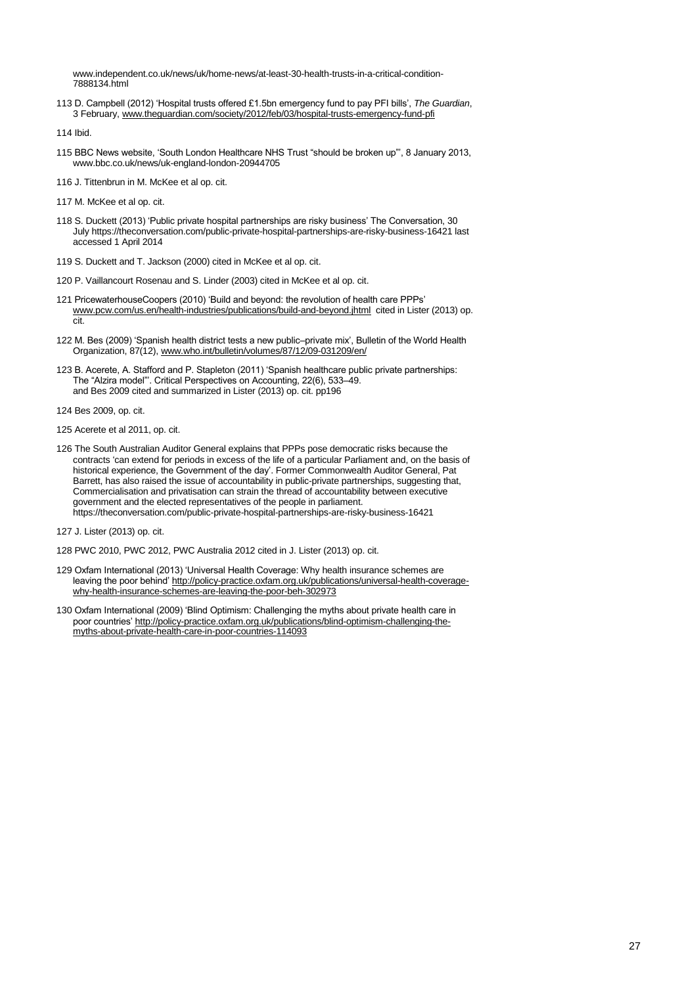[www.independent.co.uk/news/uk/home-news/at-least-30-health-trusts-in-a-critical-condition-](http://www.independent.co.uk/news/uk/home-news/at-least-30-health-trusts-in-a-critical-condition-7888134.html)[7888134.html](http://www.independent.co.uk/news/uk/home-news/at-least-30-health-trusts-in-a-critical-condition-7888134.html)

113 D. Campbell (2012) ‗Hospital trusts offered £1.5bn emergency fund to pay PFI bills', *The Guardian*, 3 February[, www.theguardian.com/society/2012/feb/03/hospital-trusts-emergency-fund-pfi](http://www.theguardian.com/society/2012/feb/03/hospital-trusts-emergency-fund-pfi)

114 Ibid.

- 115 BBC News website, 'South London Healthcare NHS Trust "should be broken up"', 8 January 2013, [www.bbc.co.uk/news/uk-england-london-20944705](http://www.bbc.co.uk/news/uk-england-london-20944705)
- 116 J. Tittenbrun in M. McKee et al op. cit.
- 117 M. McKee et al op. cit.
- 118 S. Duckett (2013) 'Public private hospital partnerships are risky business' The Conversation, 30 Jul[y https://theconversation.com/public-private-hospital-partnerships-are-risky-business-16421](https://theconversation.com/public-private-hospital-partnerships-are-risky-business-16421) last accessed 1 April 2014
- 119 S. Duckett and T. Jackson (2000) cited in McKee et al op. cit.
- 120 P. Vaillancourt Rosenau and S. Linder (2003) cited in McKee et al op. cit.
- 121 PricewaterhouseCoopers (2010) 'Build and beyond: the revolution of health care PPPs' [www.pcw.com/us.en/health-industries/publications/build-and-beyond.jhtml](http://www.pcw.com/us.en/health-industries/publications/build-and-beyond.jhtml) cited in Lister (2013) op. cit.
- 122 M. Bes (2009) 'Spanish health district tests a new public-private mix', Bulletin of the World Health Organization, 87(12)[, www.who.int/bulletin/volumes/87/12/09-031209/en/](http://www.who.int/bulletin/volumes/87/12/09-031209/en/)
- 123 B. Acerete, A. Stafford and P. Stapleton (2011) ‗Spanish healthcare public private partnerships: The "Alzira model". Critical Perspectives on Accounting, 22(6), 533-49. and Bes 2009 cited and summarized in Lister (2013) op. cit. pp196
- 124 Bes 2009, op. cit.
- 125 Acerete et al 2011, op. cit.
- 126 The South Australian Auditor General explains that PPPs pose democratic risks because the contracts ‗can extend for periods in excess of the life of a particular Parliament and, on the basis of historical experience, the Government of the day'. Former Commonwealth Auditor General, Pat Barrett, has also raised the issue of accountability in public-private partnerships, suggesting that, Commercialisation and privatisation can strain the thread of accountability between executive government and the elected representatives of the people in parliament. <https://theconversation.com/public-private-hospital-partnerships-are-risky-business-16421>
- 127 J. Lister (2013) op. cit.
- 128 PWC 2010, PWC 2012, PWC Australia 2012 cited in J. Lister (2013) op. cit.
- 129 Oxfam International (2013) 'Universal Health Coverage: Why health insurance schemes are leaving the poor behind' [http://policy-practice.oxfam.org.uk/publications/universal-health-coverage](http://policy-practice.oxfam.org.uk/publications/universal-health-coverage-why-health-insurance-schemes-are-leaving-the-poor-beh-302973)[why-health-insurance-schemes-are-leaving-the-poor-beh-302973](http://policy-practice.oxfam.org.uk/publications/universal-health-coverage-why-health-insurance-schemes-are-leaving-the-poor-beh-302973)
- 130 Oxfam International (2009) 'Blind Optimism: Challenging the myths about private health care in poor countries[' http://policy-practice.oxfam.org.uk/publications/blind-optimism-challenging-the](http://policy-practice.oxfam.org.uk/publications/blind-optimism-challenging-the-myths-about-private-health-care-in-poor-countries-114093)[myths-about-private-health-care-in-poor-countries-114093](http://policy-practice.oxfam.org.uk/publications/blind-optimism-challenging-the-myths-about-private-health-care-in-poor-countries-114093)